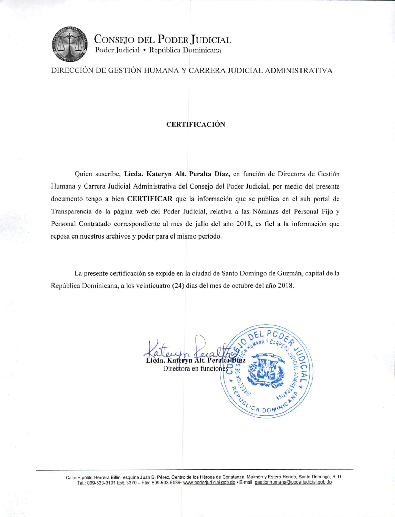

CONSEJO DEL PODER JUDICIAL Poder Judicial · República Dominicana

DIRECCIÓN DE GESTIÓN HUMANA Y CARRERA JUDICIAL ADMINISTRATIVA

## **CERTIFICACIÓN**

Quien suscribe, Licda. Kateryn Alt. Peralta Díaz, en función de Directora de Gestión Humana y Carrera Judicial Administrativa del Consejo del Poder Judicial, por medio del presente documento tengo a bien **CERTIFICAR** que la información que se publica en el sub portal de Transparencia de la página web del Poder Judicial, relativa a las Nóminas del Personal Fijo y Personal Contratado correspondiente al mes de julio del año 2018, es fiel a la información que reposa en nuestros archivos y poder para el mismo período.

La presente certificación se expide en la ciudad de Santo Domingo de Guzmán, capital de la República Dominicana, a los veinticuatro (24) días del mes de octubre del año 2018.

ateryn Alt. Pera Directora en funcione CA DON

Calle Hipólito Herrera Billini esquina Juan B. Pérez, Centro de los Héroes de Constanza, Maimón y Estero Hondo, Santo Domingo, R. D. Tel.: 809-533-3191 Ext. 3370 - Fax: 809-533-5036- www.poderjudicial.gob.do - E-mail: gestionhumana@poderjudicial.gob.do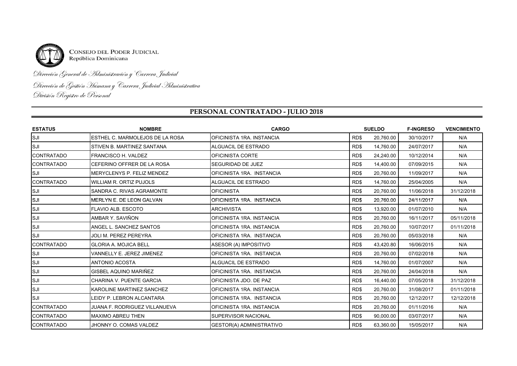

CONSEJO DEL PODER JUDICIAL<br>República Dominicana

Dirección General de Administración y Carrera Judicial

Dirección de Gestión Humana y Carrera Judicial Administrativa<br>División Registro de Personal

## **PERSONAL CONTRATADO - JULIO 2018**

| <b>ESTATUS</b>     | <b>NOMBRE</b>                        | <b>CARGO</b>                    | <b>SUELDO</b> |           | <b>F-INGRESO</b> | <b>VENCIMIENTO</b> |
|--------------------|--------------------------------------|---------------------------------|---------------|-----------|------------------|--------------------|
| SJI                | ESTHEL C. MARMOLEJOS DE LA ROSA      | OFICINISTA 1RA. INSTANCIA       | RD\$          | 20.760.00 | 30/10/2017       | N/A                |
| <b>SJI</b>         | STIVEN B. MARTINEZ SANTANA           | ALGUACIL DE ESTRADO             | RD\$          | 14,760.00 | 24/07/2017       | N/A                |
| <b>CONTRATADO</b>  | <b>FRANCISCO H. VALDEZ</b>           | <b>OFICINISTA CORTE</b>         | RD\$          | 24,240.00 | 10/12/2014       | N/A                |
| <b>ICONTRATADO</b> | CEFERINO OFFRER DE LA ROSA           | SEGURIDAD DE JUEZ               | RD\$          | 14,400.00 | 07/09/2015       | N/A                |
| SJI                | MERYCLENYS P. FELIZ MENDEZ           | OFICINISTA 1RA. INSTANCIA       | RD\$          | 20,760.00 | 11/09/2017       | N/A                |
| <b>CONTRATADO</b>  | <b>WILLIAM R. ORTIZ PUJOLS</b>       | ALGUACIL DE ESTRADO             | RD\$          | 14,760.00 | 25/04/2005       | N/A                |
| <b>SJI</b>         | SANDRA C. RIVAS AGRAMONTE            | <b>OFICINISTA</b>               | RD\$          | 20.760.00 | 11/06/2018       | 31/12/2018         |
| <b>SJI</b>         | MERLYN E. DE LEON GALVAN             | OFICINISTA 1RA. INSTANCIA       | RD\$          | 20,760.00 | 24/11/2017       | N/A                |
| SJI                | <b>FLAVIO ALB. ESCOTO</b>            | <b>ARCHIVISTA</b>               | RD\$          | 13,920.00 | 01/07/2010       | N/A                |
| <b>SJI</b>         | AMBAR Y. SAVIÑON                     | OFICINISTA 1RA. INSTANCIA       | RD\$          | 20,760.00 | 16/11/2017       | 05/11/2018         |
| SJI                | ANGEL L. SANCHEZ SANTOS              | OFICINISTA 1RA. INSTANCIA       | RD\$          | 20,760.00 | 10/07/2017       | 01/11/2018         |
| <b>SJI</b>         | <b>JOLI M. PEREZ PEREYRA</b>         | OFICINISTA 1RA. INSTANCIA       | RD\$          | 20,760.00 | 05/03/2018       | N/A                |
| <b>CONTRATADO</b>  | <b>GLORIA A. MOJICA BELL</b>         | ASESOR (A) IMPOSITIVO           | RD\$          | 43,420.80 | 16/06/2015       | N/A                |
| SJI                | VANNELLY E. JEREZ JIMENEZ            | OFICINISTA 1RA. INSTANCIA       | RD\$          | 20,760.00 | 07/02/2018       | N/A                |
| <b>SJI</b>         | <b>ANTONIO ACOSTA</b>                | ALGUACIL DE ESTRADO             | RD\$          | 14.760.00 | 01/07/2007       | N/A                |
| SJI                | GISBEL AQUINO MARIÑEZ                | OFICINISTA 1RA. INSTANCIA       | RD\$          | 20,760.00 | 24/04/2018       | N/A                |
| <b>SJI</b>         | CHARINA V. PUENTE GARCIA             | OFICINISTA JDO. DE PAZ          | RD\$          | 16,440.00 | 07/05/2018       | 31/12/2018         |
| SJI                | KAROLINE MARTINEZ SANCHEZ            | OFICINISTA 1RA. INSTANCIA       | RD\$          | 20,760.00 | 31/08/2017       | 01/11/2018         |
| <b>SJI</b>         | <b>LEIDY P. LEBRON ALCANTARA</b>     | OFICINISTA 1RA. INSTANCIA       | RD\$          | 20,760.00 | 12/12/2017       | 12/12/2018         |
| <b>CONTRATADO</b>  | <b>JUANA F. RODRIGUEZ VILLANUEVA</b> | OFICINISTA 1RA. INSTANCIA       | RD\$          | 20.760.00 | 01/11/2016       | N/A                |
| <b>CONTRATADO</b>  | <b>MAXIMO ABREU THEN</b>             | <b>SUPERVISOR NACIONAL</b>      | RD\$          | 90,000.00 | 03/07/2017       | N/A                |
| <b>CONTRATADO</b>  | JHONNY O. COMAS VALDEZ               | <b>GESTOR(A) ADMINISTRATIVO</b> | RD\$          | 63,360.00 | 15/05/2017       | N/A                |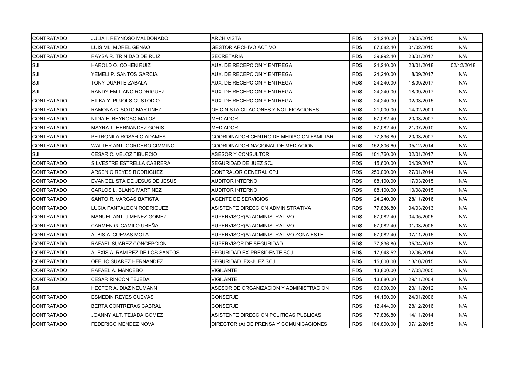| <b>CONTRATADO</b> | JULIA I. REYNOSO MALDONADO      | <b>ARCHIVISTA</b>                        | RD\$ | 24,240.00  | 28/05/2015 | N/A        |
|-------------------|---------------------------------|------------------------------------------|------|------------|------------|------------|
| <b>CONTRATADO</b> | LUIS ML. MOREL GENAO            | GESTOR ARCHIVO ACTIVO                    | RD\$ | 67,082.40  | 01/02/2015 | N/A        |
| <b>CONTRATADO</b> | RAYSA R. TRINIDAD DE RUIZ       | <b>SECRETARIA</b>                        | RD\$ | 39,992.40  | 23/01/2017 | N/A        |
| SJI               | HAROLD O. COHEN RUIZ            | AUX. DE RECEPCION Y ENTREGA              | RD\$ | 24,240.00  | 23/01/2018 | 02/12/2018 |
| SJI               | YEMELI P. SANTOS GARCIA         | AUX. DE RECEPCION Y ENTREGA              | RD\$ | 24,240.00  | 18/09/2017 | N/A        |
| SJI               | TONY DUARTE ZABALA              | AUX. DE RECEPCION Y ENTREGA              | RD\$ | 24,240.00  | 18/09/2017 | N/A        |
| SJI               | RANDY EMILIANO RODRIGUEZ        | AUX. DE RECEPCION Y ENTREGA              | RD\$ | 24,240.00  | 18/09/2017 | N/A        |
| <b>CONTRATADO</b> | HILKA Y. PUJOLS CUSTODIO        | AUX. DE RECEPCION Y ENTREGA              | RD\$ | 24,240.00  | 02/03/2015 | N/A        |
| <b>CONTRATADO</b> | RAMONA C. SOTO MARTINEZ         | OFICINISTA CITACIONES Y NOTIFICACIONES   | RD\$ | 21,000.00  | 14/02/2001 | N/A        |
| <b>CONTRATADO</b> | NIDIA E. REYNOSO MATOS          | MEDIADOR                                 | RD\$ | 67,082.40  | 20/03/2007 | N/A        |
| <b>CONTRATADO</b> | MAYRA T. HERNANDEZ GORIS        | <b>MEDIADOR</b>                          | RD\$ | 67,082.40  | 21/07/2010 | N/A        |
| <b>CONTRATADO</b> | PETRONILA ROSARIO ADAMES        | COORDINADOR CENTRO DE MEDIACION FAMILIAR | RD\$ | 77,836.80  | 20/03/2007 | N/A        |
| <b>CONTRATADO</b> | WALTER ANT. CORDERO CIMMINO     | COORDINADOR NACIONAL DE MEDIACION        | RD\$ | 152,806.60 | 05/12/2014 | N/A        |
| <b>SJI</b>        | CESAR C. VELOZ TIBURCIO         | ASESOR Y CONSULTOR                       | RD\$ | 101,760.00 | 02/01/2017 | N/A        |
| <b>CONTRATADO</b> | SILVESTRE ESTRELLA CABRERA      | SEGURIDAD DE JUEZ SCJ                    | RD\$ | 15,600.00  | 04/09/2017 | N/A        |
| <b>CONTRATADO</b> | ARSENIO REYES RODRIGUEZ         | CONTRALOR GENERAL CPJ                    | RD\$ | 250,000.00 | 27/01/2014 | N/A        |
| <b>CONTRATADO</b> | EVANGELISTA DE JESUS DE JESUS   | AUDITOR INTERNO                          | RD\$ | 88,100.00  | 17/03/2015 | N/A        |
| <b>CONTRATADO</b> | CARLOS L. BLANC MARTINEZ        | AUDITOR INTERNO                          | RD\$ | 88,100.00  | 10/08/2015 | N/A        |
| <b>CONTRATADO</b> | SANTO R. VARGAS BATISTA         | <b>AGENTE DE SERVICIOS</b>               | RD\$ | 24,240.00  | 28/11/2016 | N/A        |
| <b>CONTRATADO</b> | LUCIA PANTALEON RODRIGUEZ       | ASISTENTE DIRECCION ADMINISTRATIVA       | RD\$ | 77,836.80  | 04/03/2013 | N/A        |
| <b>CONTRATADO</b> | MANUEL ANT. JIMENEZ GOMEZ       | SUPERVISOR(A) ADMINISTRATIVO             | RD\$ | 67,082.40  | 04/05/2005 | N/A        |
| <b>CONTRATADO</b> | CARMEN G. CAMILO UREÑA          | SUPERVISOR(A) ADMINISTRATIVO             | RD\$ | 67,082.40  | 01/03/2006 | N/A        |
| <b>CONTRATADO</b> | ALBIS A. CUEVAS MOTA            | SUPERVISOR(A) ADMINISTRATIVO ZONA ESTE   | RD\$ | 67,082.40  | 07/11/2016 | N/A        |
| <b>CONTRATADO</b> | RAFAEL SUAREZ CONCEPCION        | SUPERVISOR DE SEGURIDAD                  | RD\$ | 77,836.80  | 05/04/2013 | N/A        |
| <b>CONTRATADO</b> | ALEXIS A. RAMIREZ DE LOS SANTOS | SEGURIDAD EX-PRESIDENTE SCJ              | RD\$ | 17,943.52  | 02/06/2014 | N/A        |
| <b>CONTRATADO</b> | OFELIO SUAREZ HERNANDEZ         | SEGURIDAD EX-JUEZ SCJ                    | RD\$ | 15,600.00  | 13/10/2015 | N/A        |
| <b>CONTRATADO</b> | RAFAEL A. MANCEBO               | VIGILANTE                                | RD\$ | 13,800.00  | 17/03/2005 | N/A        |
| <b>CONTRATADO</b> | <b>CESAR RINCON TEJEDA</b>      | VIGILANTE                                | RD\$ | 13,680.00  | 29/11/2004 | N/A        |
| <b>SJI</b>        | <b>HECTOR A. DIAZ NEUMANN</b>   | ASESOR DE ORGANIZACION Y ADMINISTRACION  | RD\$ | 60,000.00  | 23/11/2012 | N/A        |
| <b>CONTRATADO</b> | <b>ESMEDIN REYES CUEVAS</b>     | <b>CONSERJE</b>                          | RD\$ | 14,160.00  | 24/01/2006 | N/A        |
| <b>CONTRATADO</b> | <b>BERTA CONTRERAS CABRAL</b>   | CONSERJE                                 | RD\$ | 12,444.00  | 28/12/2016 | N/A        |
| <b>CONTRATADO</b> | JOANNY ALT. TEJADA GOMEZ        | ASISTENTE DIRECCION POLITICAS PUBLICAS   | RD\$ | 77,836.80  | 14/11/2014 | N/A        |
| <b>CONTRATADO</b> | FEDERICO MENDEZ NOVA            | DIRECTOR (A) DE PRENSA Y COMUNICACIONES  | RD\$ | 184,800.00 | 07/12/2015 | N/A        |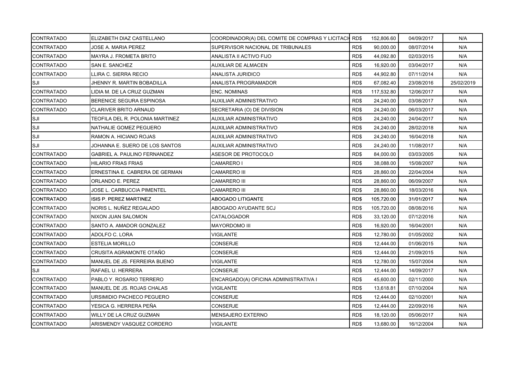| <b>CONTRATADO</b> | ELIZABETH DIAZ CASTELLANO           | COORDINADOR(A) DEL COMITE DE COMPRAS Y LICITACIONES |      | 152,806.60 | 04/09/2017 | N/A        |
|-------------------|-------------------------------------|-----------------------------------------------------|------|------------|------------|------------|
| <b>CONTRATADO</b> | JOSE A. MARIA PEREZ                 | SUPERVISOR NACIONAL DE TRIBUNALES                   | RD\$ | 90,000.00  | 08/07/2014 | N/A        |
| <b>CONTRATADO</b> | <b>MAYRA J. FROMETA BRITO</b>       | ANALISTA II ACTIVO FIJO                             | RD\$ | 44,092.80  | 02/03/2015 | N/A        |
| <b>CONTRATADO</b> | SAN E. SANCHEZ                      | AUXILIAR DE ALMACEN                                 | RD\$ | 16,920.00  | 03/04/2017 | N/A        |
| <b>CONTRATADO</b> | LLIRA C. SIERRA RECIO               | ANALISTA JURIDICO                                   | RD\$ | 44,902.80  | 07/11/2014 | N/A        |
| SJI               | JHENNY R. MARTIN BOBADILLA          | ANALISTA PROGRAMADOR                                | RD\$ | 67,082.40  | 23/08/2016 | 25/02/2019 |
| <b>CONTRATADO</b> | LIDIA M. DE LA CRUZ GUZMAN          | <b>ENC. NOMINAS</b>                                 | RD\$ | 117,532.80 | 12/06/2017 | N/A        |
| <b>CONTRATADO</b> | BERENICE SEGURA ESPINOSA            | AUXILIAR ADMINISTRATIVO                             | RD\$ | 24,240.00  | 03/08/2017 | N/A        |
| <b>CONTRATADO</b> | <b>CLARIVER BRITO ARNAUD</b>        | SECRETARIA (O) DE DIVISION                          | RD\$ | 24,240.00  | 06/03/2017 | N/A        |
| SJI               | TEOFILA DEL R. POLONIA MARTINEZ     | AUXILIAR ADMINISTRATIVO                             | RD\$ | 24,240.00  | 24/04/2017 | N/A        |
| SJI               | NATHALIE GOMEZ PEGUERO              | AUXILIAR ADMINISTRATIVO                             | RD\$ | 24,240.00  | 28/02/2018 | N/A        |
| SJI               | RAMON A. HICIANO ROJAS              | AUXILIAR ADMINISTRATIVO                             | RD\$ | 24,240.00  | 16/04/2018 | N/A        |
| ISJI              | JOHANNA E. SUERO DE LOS SANTOS      | AUXILIAR ADMINISTRATIVO                             | RD\$ | 24,240.00  | 11/08/2017 | N/A        |
| <b>CONTRATADO</b> | <b>GABRIEL A. PAULINO FERNANDEZ</b> | ASESOR DE PROTOCOLO                                 | RD\$ | 84,000.00  | 03/03/2005 | N/A        |
| <b>CONTRATADO</b> | <b>HILARIO FRIAS FRIAS</b>          | CAMARERO I                                          | RD\$ | 38,088.00  | 15/08/2007 | N/A        |
| <b>CONTRATADO</b> | ERNESTINA E. CABRERA DE GERMAN      | CAMARERO III                                        | RD\$ | 28,860.00  | 22/04/2004 | N/A        |
| <b>CONTRATADO</b> | ORLANDO E. PEREZ                    | CAMARERO III                                        | RD\$ | 28,860.00  | 06/09/2007 | N/A        |
| <b>CONTRATADO</b> | JOSE L. CARBUCCIA PIMENTEL          | CAMARERO III                                        | RD\$ | 28,860.00  | 18/03/2016 | N/A        |
| <b>CONTRATADO</b> | ISIS P. PEREZ MARTINEZ              | ABOGADO LITIGANTE                                   | RD\$ | 105,720.00 | 31/01/2017 | N/A        |
| <b>CONTRATADO</b> | NORIS L. NUÑEZ REGALADO             | ABOGADO AYUDANTE SCJ                                | RD\$ | 105,720.00 | 08/08/2016 | N/A        |
| <b>CONTRATADO</b> | NIXON JUAN SALOMON                  | CATALOGADOR                                         | RD\$ | 33,120.00  | 07/12/2016 | N/A        |
| <b>CONTRATADO</b> | SANTO A. AMADOR GONZALEZ            | <b>MAYORDOMO III</b>                                | RD\$ | 16,920.00  | 16/04/2001 | N/A        |
| <b>CONTRATADO</b> | ADOLFO C. LORA                      | <b>VIGILANTE</b>                                    | RD\$ | 12,780.00  | 01/05/2002 | N/A        |
| <b>CONTRATADO</b> | <b>ESTELIA MORILLO</b>              | CONSERJE                                            | RD\$ | 12,444.00  | 01/06/2015 | N/A        |
| <b>CONTRATADO</b> | CRUSITA AGRAMONTE OTAÑO             | <b>CONSERJE</b>                                     | RD\$ | 12,444.00  | 21/09/2015 | N/A        |
| <b>CONTRATADO</b> | MANUEL DE JS. FERREIRA BUENO        | VIGILANTE                                           | RD\$ | 12,780.00  | 15/07/2004 | N/A        |
| ISJI              | RAFAEL U. HERRERA                   | CONSERJE                                            | RD\$ | 12,444.00  | 14/09/2017 | N/A        |
| <b>CONTRATADO</b> | PABLO Y. ROSARIO TERRERO            | ENCARGADO(A) OFICINA ADMINISTRATIVA I               | RD\$ | 45,600.00  | 02/11/2000 | N/A        |
| <b>CONTRATADO</b> | MANUEL DE JS. ROJAS CHALAS          | <b>VIGILANTE</b>                                    | RD\$ | 13,618.81  | 07/10/2004 | N/A        |
| <b>CONTRATADO</b> | URSIMIDIO PACHECO PEGUERO           | <b>CONSERJE</b>                                     | RD\$ | 12,444.00  | 02/10/2001 | N/A        |
| <b>CONTRATADO</b> | YESICA G. HERRERA PEÑA              | CONSERJE                                            | RD\$ | 12,444.00  | 22/09/2016 | N/A        |
| <b>CONTRATADO</b> | WILLY DE LA CRUZ GUZMAN             | MENSAJERO EXTERNO                                   | RD\$ | 18,120.00  | 05/06/2017 | N/A        |
| <b>CONTRATADO</b> | ARISMENDY VASQUEZ CORDERO           | <b>VIGILANTE</b>                                    | RD\$ | 13,680.00  | 16/12/2004 | N/A        |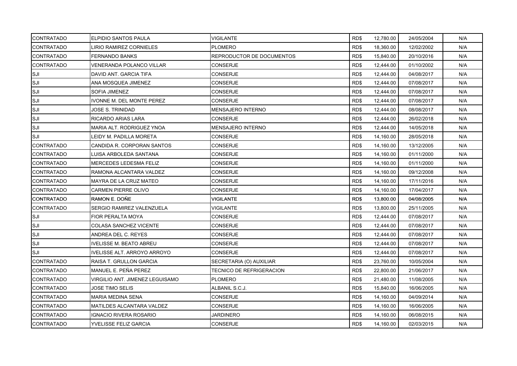| <b>CONTRATADO</b> | <b>ELPIDIO SANTOS PAULA</b>        | <b>VIGILANTE</b>                 | RD\$ | 12,780.00 | 24/05/2004 | N/A |
|-------------------|------------------------------------|----------------------------------|------|-----------|------------|-----|
| <b>CONTRATADO</b> | <b>LIRIO RAMIREZ CORNIELES</b>     | <b>PLOMERO</b>                   | RD\$ | 18,360.00 | 12/02/2002 | N/A |
| <b>CONTRATADO</b> | <b>FERNANDO BANKS</b>              | <b>REPRODUCTOR DE DOCUMENTOS</b> | RD\$ | 15,840.00 | 20/10/2016 | N/A |
| <b>CONTRATADO</b> | VENERANDA POLANCO VILLAR           | CONSERJE                         | RD\$ | 12,444.00 | 01/10/2002 | N/A |
| SJI               | DAVID ANT. GARCIA TIFA             | CONSERJE                         | RD\$ | 12,444.00 | 04/08/2017 | N/A |
| SJI               | ANA MOSQUEA JIMENEZ                | <b>CONSERJE</b>                  | RD\$ | 12,444.00 | 07/08/2017 | N/A |
| SJI               | <b>SOFIA JIMENEZ</b>               | <b>CONSERJE</b>                  | RD\$ | 12,444.00 | 07/08/2017 | N/A |
| SJI               | IVONNE M. DEL MONTE PEREZ          | CONSERJE                         | RD\$ | 12,444.00 | 07/08/2017 | N/A |
| SJI               | JOSE S. TRINIDAD                   | <b>MENSAJERO INTERNO</b>         | RD\$ | 12,444.00 | 08/08/2017 | N/A |
| SJI               | RICARDO ARIAS LARA                 | <b>CONSERJE</b>                  | RD\$ | 12,444.00 | 26/02/2018 | N/A |
| SJI               | MARIA ALT. RODRIGUEZ YNOA          | <b>MENSAJERO INTERNO</b>         | RD\$ | 12,444.00 | 14/05/2018 | N/A |
| SJI               | LEIDY M. PADILLA MORETA            | CONSERJE                         | RD\$ | 14,160.00 | 28/05/2018 | N/A |
| <b>CONTRATADO</b> | CANDIDA R. CORPORAN SANTOS         | CONSERJE                         | RD\$ | 14,160.00 | 13/12/2005 | N/A |
| <b>CONTRATADO</b> | LUISA ARBOLEDA SANTANA             | <b>CONSERJE</b>                  | RD\$ | 14,160.00 | 01/11/2000 | N/A |
| <b>CONTRATADO</b> | MERCEDES LEDESMA FELIZ             | <b>CONSERJE</b>                  | RD\$ | 14,160.00 | 01/11/2000 | N/A |
| <b>CONTRATADO</b> | RAMONA ALCANTARA VALDEZ            | CONSERJE                         | RD\$ | 14,160.00 | 09/12/2008 | N/A |
| <b>CONTRATADO</b> | MAYRA DE LA CRUZ MATEO             | <b>CONSERJE</b>                  | RD\$ | 14,160.00 | 17/11/2016 | N/A |
| <b>CONTRATADO</b> | <b>CARMEN PIERRE OLIVO</b>         | CONSERJE                         | RD\$ | 14,160.00 | 17/04/2017 | N/A |
| <b>CONTRATADO</b> | RAMON E. DOÑE                      | VIGILANTE                        | RD\$ | 13,800.00 | 04/08/2005 | N/A |
| <b>CONTRATADO</b> | SERGIO RAMIREZ VALENZUELA          | VIGILANTE                        | RD\$ | 13,800.00 | 25/11/2005 | N/A |
| SJI               | FIOR PERALTA MOYA                  | <b>CONSERJE</b>                  | RD\$ | 12,444.00 | 07/08/2017 | N/A |
| SJI               | <b>COLASA SANCHEZ VICENTE</b>      | <b>CONSERJE</b>                  | RD\$ | 12,444.00 | 07/08/2017 | N/A |
| SJI               | ANDREA DEL C. REYES                | <b>CONSERJE</b>                  | RD\$ | 12,444.00 | 07/08/2017 | N/A |
| SJI               | <b>IVELISSE M. BEATO ABREU</b>     | CONSERJE                         | RD\$ | 12,444.00 | 07/08/2017 | N/A |
| SJI               | <b>IVELISSE ALT. ARROYO ARROYO</b> | <b>CONSERJE</b>                  | RD\$ | 12,444.00 | 07/08/2017 | N/A |
| <b>CONTRATADO</b> | RAISA T. GRULLON GARCIA            | SECRETARIA (O) AUXILIAR          | RD\$ | 23,760.00 | 10/05/2004 | N/A |
| <b>CONTRATADO</b> | MANUEL E. PEÑA PEREZ               | TECNICO DE REFRIGERACION         | RD\$ | 22,800.00 | 21/06/2017 | N/A |
| <b>CONTRATADO</b> | VIRGILIO ANT. JIMENEZ LEGUISAMO    | <b>PLOMERO</b>                   | RD\$ | 21,480.00 | 11/08/2005 | N/A |
| <b>CONTRATADO</b> | JOSE TIMO SELIS                    | ALBANIL S.C.J.                   | RD\$ | 15,840.00 | 16/06/2005 | N/A |
| <b>CONTRATADO</b> | <b>MARIA MEDINA SENA</b>           | <b>CONSERJE</b>                  | RD\$ | 14,160.00 | 04/09/2014 | N/A |
| <b>CONTRATADO</b> | <b>MATILDES ALCANTARA VALDEZ</b>   | CONSERJE                         | RD\$ | 14,160.00 | 16/06/2005 | N/A |
| <b>CONTRATADO</b> | <b>IGNACIO RIVERA ROSARIO</b>      | <b>JARDINERO</b>                 | RD\$ | 14,160.00 | 06/08/2015 | N/A |
| <b>CONTRATADO</b> | YVELISSE FELIZ GARCIA              | CONSERJE                         | RD\$ | 14,160.00 | 02/03/2015 | N/A |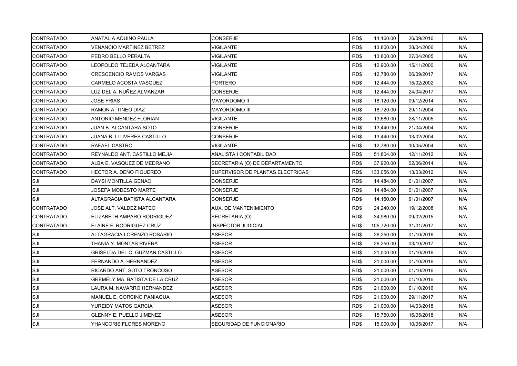| <b>CONTRATADO</b> | ANATALIA AQUINO PAULA           | <b>CONSERJE</b>                  | RD\$ | 14,160.00  | 26/09/2016 | N/A |
|-------------------|---------------------------------|----------------------------------|------|------------|------------|-----|
| <b>CONTRATADO</b> | <b>VENANCIO MARTINEZ BETREZ</b> | <b>VIGILANTE</b>                 | RD\$ | 13,800.00  | 28/04/2006 | N/A |
| <b>CONTRATADO</b> | PEDRO BELLO PERALTA             | <b>VIGILANTE</b>                 | RD\$ | 13,800.00  | 27/04/2005 | N/A |
| <b>CONTRATADO</b> | LEOPOLDO TEJEDA ALCANTARA       | VIGILANTE                        | RD\$ | 12,900.00  | 15/11/2000 | N/A |
| <b>CONTRATADO</b> | <b>CRESCENCIO RAMOS VARGAS</b>  | <b>VIGILANTE</b>                 | RD\$ | 12,780.00  | 06/09/2017 | N/A |
| <b>CONTRATADO</b> | CARMELO ACOSTA VASQUEZ          | <b>PORTERO</b>                   | RD\$ | 12,444.00  | 15/02/2002 | N/A |
| <b>CONTRATADO</b> | LUZ DEL A. NUÑEZ ALMANZAR       | CONSERJE                         | RD\$ | 12,444.00  | 24/04/2017 | N/A |
| <b>CONTRATADO</b> | <b>JOSE FRIAS</b>               | MAYORDOMO II                     | RD\$ | 18,120.00  | 09/12/2014 | N/A |
| <b>CONTRATADO</b> | RAMON A. TINEO DIAZ             | <b>MAYORDOMO III</b>             | RD\$ | 18,720.00  | 29/11/2004 | N/A |
| <b>CONTRATADO</b> | ANTONIO MENDEZ FLORIAN          | VIGILANTE                        | RD\$ | 13,680.00  | 28/11/2005 | N/A |
| <b>CONTRATADO</b> | JUAN B. ALCANTARA SOTO          | CONSERJE                         | RD\$ | 13,440.00  | 21/04/2004 | N/A |
| <b>CONTRATADO</b> | JUANA B. LLUVERES CASTILLO      | CONSERJE                         | RD\$ | 13,440.00  | 13/02/2004 | N/A |
| <b>CONTRATADO</b> | RAFAEL CASTRO                   | <b>VIGILANTE</b>                 | RD\$ | 12,780.00  | 10/05/2004 | N/A |
| <b>CONTRATADO</b> | REYNALDO ANT. CASTILLO MEJIA    | ANALISTA I CONTABILIDAD          | RD\$ | 51,804.00  | 12/11/2012 | N/A |
| <b>CONTRATADO</b> | ALBA E. VASQUEZ DE MEDRANO      | SECRETARIA (O) DE DEPARTAMENTO   | RD\$ | 37,920.00  | 02/06/2014 | N/A |
| <b>CONTRATADO</b> | HECTOR A. DEÑO FIGUEREO         | SUPERVISOR DE PLANTAS ELECTRICAS | RD\$ | 133,056.00 | 13/03/2012 | N/A |
| ISJI              | DAYSI MONTILLA GENAO            | <b>CONSERJE</b>                  | RD\$ | 14,484.00  | 01/01/2007 | N/A |
| SJI               | JOSEFA MODESTO MARTE            | <b>CONSERJE</b>                  | RD\$ | 14,484.00  | 01/01/2007 | N/A |
| SJI               | ALTAGRACIA BATISTA ALCANTARA    | <b>CONSERJE</b>                  | RD\$ | 14,160.00  | 01/01/2007 | N/A |
| <b>CONTRATADO</b> | JOSE ALT. VALDEZ MATEO          | AUX. DE MANTENIMIENTO            | RD\$ | 24,240.00  | 19/12/2008 | N/A |
| <b>CONTRATADO</b> | ELIZABETH AMPARO RODRIGUEZ      | SECRETARIA (O)                   | RD\$ | 34,980.00  | 09/02/2015 | N/A |
| <b>CONTRATADO</b> | ELAINE F. RODRIGUEZ CRUZ        | <b>INSPECTOR JUDICIAL</b>        | RD\$ | 105,720.00 | 31/01/2017 | N/A |
| SJI               | ALTAGRACIA LORENZO ROSARIO      | ASESOR                           | RD\$ | 26,250.00  | 01/10/2016 | N/A |
| SJI               | THANIA Y. MONTAS RIVERA         | <b>ASESOR</b>                    | RD\$ | 26,250.00  | 03/10/2017 | N/A |
| SJI               | GRISELDA DEL C. GUZMAN CASTILLO | ASESOR                           | RD\$ | 21,000.00  | 01/10/2016 | N/A |
| SJI               | FERNANDO A. HERNANDEZ           | <b>ASESOR</b>                    | RD\$ | 21,000.00  | 01/10/2016 | N/A |
| SJI               | RICARDO ANT. SOTO TRONCOSO      | ASESOR                           | RD\$ | 21,000.00  | 01/10/2016 | N/A |
| SJI               | GREMELY MA. BATISTA DE LA CRUZ  | ASESOR                           | RD\$ | 21,000.00  | 01/10/2016 | N/A |
| SJI               | LAURA M. NAVARRO HERNANDEZ      | <b>ASESOR</b>                    | RD\$ | 21,000.00  | 01/10/2016 | N/A |
| SJI               | MANUEL E. CORCINO PANIAGUA      | <b>ASESOR</b>                    | RD\$ | 21,000.00  | 29/11/2017 | N/A |
| SJI               | YUREIDY MATOS GARCIA            | <b>ASESOR</b>                    | RD\$ | 21,000.00  | 14/03/2018 | N/A |
| SJI               | <b>GLENNY E. PUELLO JIMENEZ</b> | ASESOR                           | RD\$ | 15,750.00  | 16/05/2018 | N/A |
| SJI               | YHANCORIS FLORES MORENO         | SEGURIDAD DE FUNCIONARIO         | RD\$ | 15,000.00  | 10/05/2017 | N/A |
|                   |                                 |                                  |      |            |            |     |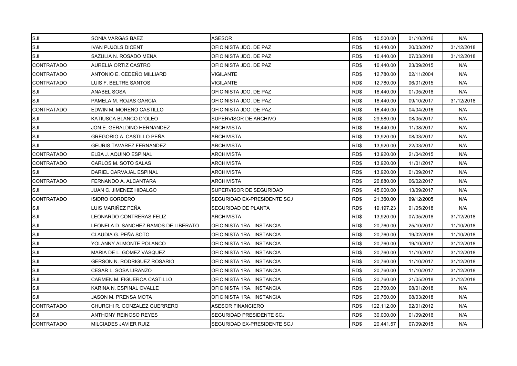| SJI               | SONIA VARGAS BAEZ                    | <b>ASESOR</b>                      | RD\$ | 10,500.00  | 01/10/2016 | N/A        |
|-------------------|--------------------------------------|------------------------------------|------|------------|------------|------------|
| SJI               | <b>IVAN PUJOLS DICENT</b>            | OFICINISTA JDO. DE PAZ             | RD\$ | 16,440.00  | 20/03/2017 | 31/12/2018 |
| SJI               | SAZULIA N. ROSADO MENA               | OFICINISTA JDO. DE PAZ             | RD\$ | 16,440.00  | 07/03/2018 | 31/12/2018 |
| <b>CONTRATADO</b> | AURELIA ORTIZ CASTRO                 | OFICINISTA JDO. DE PAZ             | RD\$ | 16,440.00  | 23/09/2015 | N/A        |
| <b>CONTRATADO</b> | ANTONIO E. CEDEÑO MILLIARD           | <b>VIGILANTE</b>                   | RD\$ | 12,780.00  | 02/11/2004 | N/A        |
| <b>CONTRATADO</b> | LUIS F. BELTRE SANTOS                | <b>VIGILANTE</b>                   | RD\$ | 12,780.00  | 06/01/2015 | N/A        |
| SJI               | ANABEL SOSA                          | OFICINISTA JDO. DE PAZ             | RD\$ | 16,440.00  | 01/05/2018 | N/A        |
| SJI               | PAMELA M. ROJAS GARCIA               | OFICINISTA JDO. DE PAZ             | RD\$ | 16,440.00  | 09/10/2017 | 31/12/2018 |
| <b>CONTRATADO</b> | EDWIN M. MORENO CASTILLO             | OFICINISTA JDO. DE PAZ             | RD\$ | 16,440.00  | 04/04/2016 | N/A        |
| SJI               | KATIUSCA BLANCO D'OLEO               | SUPERVISOR DE ARCHIVO              | RD\$ | 29,580.00  | 08/05/2017 | N/A        |
| SJI               | JON E. GERALDINO HERNANDEZ           | <b>ARCHIVISTA</b>                  | RD\$ | 16,440.00  | 11/08/2017 | N/A        |
| SJI               | GREGORIO A. CASTILLO PEÑA            | ARCHIVISTA                         | RD\$ | 13,920.00  | 08/03/2017 | N/A        |
| SJI               | <b>GEURIS TAVAREZ FERNANDEZ</b>      | <b>ARCHIVISTA</b>                  | RD\$ | 13,920.00  | 22/03/2017 | N/A        |
| <b>CONTRATADO</b> | ELBA J. AQUINO ESPINAL               | <b>ARCHIVISTA</b>                  | RD\$ | 13,920.00  | 21/04/2015 | N/A        |
| <b>CONTRATADO</b> | CARLOS M. SOTO SALAS                 | <b>ARCHIVISTA</b>                  | RD\$ | 13,920.00  | 11/01/2017 | N/A        |
| SJI               | DARIEL CARVAJAL ESPINAL              | ARCHIVISTA                         | RD\$ | 13,920.00  | 01/09/2017 | N/A        |
| <b>CONTRATADO</b> | FERNANDO A. ALCANTARA                | <b>ARCHIVISTA</b>                  | RD\$ | 26,880.00  | 06/02/2017 | N/A        |
| SJI               | JUAN C. JIMENEZ HIDALGO              | SUPERVISOR DE SEGURIDAD            | RD\$ | 45,000.00  | 13/09/2017 | N/A        |
| <b>CONTRATADO</b> | <b>ISIDRO CORDERO</b>                | SEGURIDAD EX-PRESIDENTE SCJ        | RD\$ | 21,360.00  | 09/12/2005 | N/A        |
| <b>SJI</b>        | LUIS MARIÑEZ PEÑA                    | SEGURIDAD DE PLANTA                | RD\$ | 19,197.23  | 01/05/2018 | N/A        |
| SJI               | LEONARDO CONTRERAS FELIZ             | <b>ARCHIVISTA</b>                  | RD\$ | 13,920.00  | 07/05/2018 | 31/12/2018 |
| SJI               | LEONELA D. SANCHEZ RAMOS DE LIBERATO | OFICINISTA 1RA. INSTANCIA          | RD\$ | 20,760.00  | 25/10/2017 | 11/10/2018 |
| SJI               | CLAUDIA G. PEÑA SOTO                 | OFICINISTA 1RA. INSTANCIA          | RD\$ | 20,760.00  | 19/02/2018 | 11/10/2018 |
| SJI               | YOLANNY ALMONTE POLANCO              | OFICINISTA 1RA. INSTANCIA          | RD\$ | 20,760.00  | 19/10/2017 | 31/12/2018 |
| <b>SJI</b>        | MARIA DE L. GÓMEZ VÁSQUEZ            | OFICINISTA 1RA. INSTANCIA          | RD\$ | 20,760.00  | 11/10/2017 | 31/12/2018 |
| SJI               | <b>GERSON N. RODRIGUEZ ROSARIO</b>   | OFICINISTA 1RA. INSTANCIA          | RD\$ | 20,760.00  | 11/10/2017 | 31/12/2018 |
| SJI               | CESAR L. SOSA LIRANZO                | OFICINISTA 1RA. INSTANCIA          | RD\$ | 20,760.00  | 11/10/2017 | 31/12/2018 |
| SJI               | CARMEN M. FIGUEROA CASTILLO          | OFICINISTA 1RA. INSTANCIA          | RD\$ | 20,760.00  | 21/05/2018 | 31/12/2018 |
| SJI               | KARINA N. ESPINAL OVALLE             | OFICINISTA 1RA. INSTANCIA          | RD\$ | 20,760.00  | 08/01/2018 | N/A        |
| SJI               | JASON M. PRENSA MOTA                 | OFICINISTA 1RA. INSTANCIA          | RD\$ | 20,760.00  | 08/03/2018 | N/A        |
| <b>CONTRATADO</b> | CHURCHI R. GONZALEZ GUERRERO         | <b>ASESOR FINANCIERO</b>           | RD\$ | 122,112.00 | 02/01/2012 | N/A        |
| SJI               | ANTHONY REINOSO REYES                | SEGURIDAD PRESIDENTE SCJ           | RD\$ | 30,000.00  | 01/09/2016 | N/A        |
| <b>CONTRATADO</b> | MILCIADES JAVIER RUIZ                | <b>SEGURIDAD EX-PRESIDENTE SCJ</b> | RD\$ | 20,441.57  | 07/09/2015 | N/A        |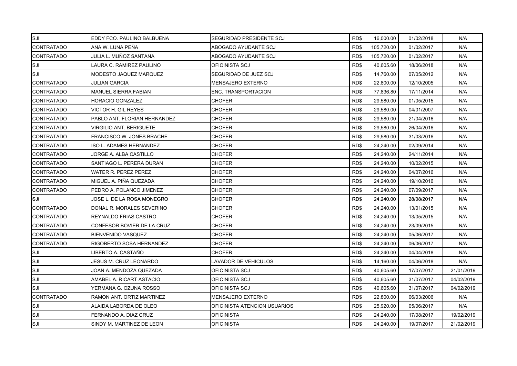| ISJI               | EDDY FCO. PAULINO BALBUENA   | SEGURIDAD PRESIDENTE SCJ     | RD\$ | 16,000.00  | 01/02/2018 | N/A        |
|--------------------|------------------------------|------------------------------|------|------------|------------|------------|
| <b>CONTRATADO</b>  | ANA W. LUNA PEÑA             | ABOGADO AYUDANTE SCJ         | RD\$ | 105,720.00 | 01/02/2017 | N/A        |
| <b>CONTRATADO</b>  | JULIA L. MUÑOZ SANTANA       | ABOGADO AYUDANTE SCJ         | RD\$ | 105,720.00 | 01/02/2017 | N/A        |
| SJI                | LAURA C. RAMIREZ PAULINO     | OFICINISTA SCJ               | RD\$ | 40.605.60  | 18/06/2018 | N/A        |
| SJI                | MODESTO JAQUEZ MARQUEZ       | SEGURIDAD DE JUEZ SCJ        | RD\$ | 14,760.00  | 07/05/2012 | N/A        |
| <b>CONTRATADO</b>  | <b>JULIAN GARCIA</b>         | <b>MENSAJERO EXTERNO</b>     | RD\$ | 22,800.00  | 12/10/2005 | N/A        |
| <b>CONTRATADO</b>  | <b>MANUEL SIERRA FABIAN</b>  | <b>ENC. TRANSPORTACION</b>   | RD\$ | 77,836.80  | 17/11/2014 | N/A        |
| <b>CONTRATADO</b>  | HORACIO GONZALEZ             | <b>CHOFER</b>                | RD\$ | 29,580.00  | 01/05/2015 | N/A        |
| <b>CONTRATADO</b>  | VICTOR H. GIL REYES          | <b>CHOFER</b>                | RD\$ | 29,580.00  | 04/01/2007 | N/A        |
| <b>CONTRATADO</b>  | PABLO ANT. FLORIAN HERNANDEZ | <b>CHOFER</b>                | RD\$ | 29,580.00  | 21/04/2016 | N/A        |
| <b>CONTRATADO</b>  | VIRGILIO ANT. BERIGUETE      | <b>CHOFER</b>                | RD\$ | 29,580.00  | 26/04/2016 | N/A        |
| <b>CONTRATADO</b>  | FRANCISCO W. JONES BRACHE    | CHOFER                       | RD\$ | 29,580.00  | 31/03/2016 | N/A        |
| <b>CONTRATADO</b>  | ISO L. ADAMES HERNANDEZ      | <b>CHOFER</b>                | RD\$ | 24,240.00  | 02/09/2014 | N/A        |
| <b>CONTRATADO</b>  | JORGE A. ALBA CASTILLO       | <b>CHOFER</b>                | RD\$ | 24,240.00  | 24/11/2014 | N/A        |
| <b>CONTRATADO</b>  | SANTIAGO L. PERERA DURAN     | <b>CHOFER</b>                | RD\$ | 24,240.00  | 10/02/2015 | N/A        |
| <b>CONTRATADO</b>  | WATER R. PEREZ PEREZ         | CHOFER                       | RD\$ | 24,240.00  | 04/07/2016 | N/A        |
| <b>CONTRATADO</b>  | MIGUEL A. PIÑA QUEZADA       | <b>CHOFER</b>                | RD\$ | 24,240.00  | 19/10/2016 | N/A        |
| <b>CONTRATADO</b>  | PEDRO A. POLANCO JIMENEZ     | <b>CHOFER</b>                | RD\$ | 24,240.00  | 07/09/2017 | N/A        |
| <b>SJI</b>         | JOSE L. DE LA ROSA MONEGRO   | CHOFER                       | RD\$ | 24,240.00  | 28/08/2017 | N/A        |
| <b>ICONTRATADO</b> | DONAL R. MORALES SEVERINO    | CHOFER                       | RD\$ | 24,240.00  | 13/01/2015 | N/A        |
| <b>CONTRATADO</b>  | REYNALDO FRIAS CASTRO        | <b>CHOFER</b>                | RD\$ | 24,240.00  | 13/05/2015 | N/A        |
| <b>CONTRATADO</b>  | CONFESOR BOVIER DE LA CRUZ   | <b>CHOFER</b>                | RD\$ | 24,240.00  | 23/09/2015 | N/A        |
| <b>CONTRATADO</b>  | <b>BIENVENIDO VASQUEZ</b>    | <b>CHOFER</b>                | RD\$ | 24,240.00  | 05/06/2017 | N/A        |
| <b>CONTRATADO</b>  | RIGOBERTO SOSA HERNANDEZ     | <b>CHOFER</b>                | RD\$ | 24,240.00  | 06/06/2017 | N/A        |
| SJI                | LIBERTO A. CASTAÑO           | <b>CHOFER</b>                | RD\$ | 24,240.00  | 04/04/2018 | N/A        |
| SJI                | JESUS M. CRUZ LEONARDO       | LAVADOR DE VEHICULOS         | RD\$ | 14,160.00  | 04/06/2018 | N/A        |
| SJI                | JOAN A. MENDOZA QUEZADA      | OFICINISTA SCJ               | RD\$ | 40,605.60  | 17/07/2017 | 21/01/2019 |
| SJI                | AMABEL A. RICART ASTACIO     | OFICINISTA SCJ               | RD\$ | 40,605.60  | 31/07/2017 | 04/02/2019 |
| SJI                | YERMANA G. OZUNA ROSSO       | OFICINISTA SCJ               | RD\$ | 40,605.60  | 31/07/2017 | 04/02/2019 |
| <b>CONTRATADO</b>  | RAMON ANT. ORTIZ MARTINEZ    | <b>MENSAJERO EXTERNO</b>     | RD\$ | 22,800.00  | 06/03/2006 | N/A        |
| SJI                | ALAIDA LABORDA DE OLEO       | OFICINISTA ATENCION USUARIOS | RD\$ | 25.920.00  | 05/06/2017 | N/A        |
| SJI                | FERNANDO A. DIAZ CRUZ        | <b>OFICINISTA</b>            | RD\$ | 24,240.00  | 17/08/2017 | 19/02/2019 |
| SJI                | SINDY M. MARTINEZ DE LEON    | <b>OFICINISTA</b>            | RD\$ | 24,240.00  | 19/07/2017 | 21/02/2019 |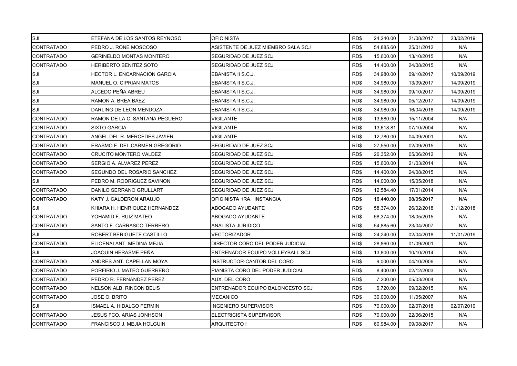| SJI               | ETEFANA DE LOS SANTOS REYNOSO       | OFICINISTA                         | RD\$ | 24,240.00 | 21/08/2017 | 23/02/2019 |
|-------------------|-------------------------------------|------------------------------------|------|-----------|------------|------------|
| <b>CONTRATADO</b> | PEDRO J. RONE MOSCOSO               | ASISTENTE DE JUEZ MIEMBRO SALA SCJ | RD\$ | 54,885.60 | 25/01/2012 | N/A        |
| <b>CONTRATADO</b> | <b>GERINELDO MONTAS MONTERO</b>     | SEGURIDAD DE JUEZ SCJ              | RD\$ | 15,600.00 | 13/10/2015 | N/A        |
| <b>CONTRATADO</b> | <b>HERIBERTO BENITEZ SOTO</b>       | SEGURIDAD DE JUEZ SCJ              | RD\$ | 14,400.00 | 24/08/2015 | N/A        |
| SJI               | <b>HECTOR L. ENCARNACION GARCIA</b> | EBANISTA II S.C.J.                 | RD\$ | 34,980.00 | 09/10/2017 | 10/09/2019 |
| SJI               | MANUEL O. CIPRIAN MATOS             | EBANISTA II S.C.J.                 | RD\$ | 34,980.00 | 13/09/2017 | 14/09/2019 |
| SJI               | ALCEDO PEÑA ABREU                   | EBANISTA II S.C.J.                 | RD\$ | 34,980.00 | 09/10/2017 | 14/09/2019 |
| SJI               | RAMON A. BREA BAEZ                  | EBANISTA II S.C.J.                 | RD\$ | 34,980.00 | 05/12/2017 | 14/09/2019 |
| SJI               | DARLING DE LEON MENDOZA             | EBANISTA II S.C.J.                 | RD\$ | 34,980.00 | 16/04/2018 | 14/09/2019 |
| <b>CONTRATADO</b> | RAMON DE LA C. SANTANA PEGUERO      | VIGILANTE                          | RD\$ | 13,680.00 | 15/11/2004 | N/A        |
| <b>CONTRATADO</b> | SIXTO GARCIA                        | VIGILANTE                          | RD\$ | 13,618.81 | 07/10/2004 | N/A        |
| <b>CONTRATADO</b> | ANGEL DEL R. MERCEDES JAVIER        | VIGILANTE                          | RD\$ | 12,780.00 | 04/09/2001 | N/A        |
| <b>CONTRATADO</b> | ERASMO F. DEL CARMEN GREGORIO       | SEGURIDAD DE JUEZ SCJ              | RD\$ | 27,550.00 | 02/09/2015 | N/A        |
| <b>CONTRATADO</b> | <b>CRUCITO MONTERO VALDEZ</b>       | SEGURIDAD DE JUEZ SCJ              | RD\$ | 26,352.00 | 05/06/2012 | N/A        |
| <b>CONTRATADO</b> | SERGIO A. ALVAREZ PEREZ             | SEGURIDAD DE JUEZ SCJ              | RD\$ | 15,600.00 | 21/03/2014 | N/A        |
| <b>CONTRATADO</b> | SEGUNDO DEL ROSARIO SANCHEZ         | SEGURIDAD DE JUEZ SCJ              | RD\$ | 14,400.00 | 24/08/2015 | N/A        |
| ISJI              | PEDRO M. RODRIGUEZ SAVIÑON          | SEGURIDAD DE JUEZ SCJ              | RD\$ | 14,000.00 | 15/05/2018 | N/A        |
| <b>CONTRATADO</b> | DANILO SERRANO GRULLART             | SEGURIDAD DE JUEZ SCJ              | RD\$ | 12,584.40 | 17/01/2014 | N/A        |
| <b>CONTRATADO</b> | KATY J. CALDERON ARAUJO             | OFICINISTA 1RA. INSTANCIA          | RD\$ | 16,440.00 | 08/05/2017 | N/A        |
| <b>SJI</b>        | KHIARA H. HENRIQUEZ HERNANDEZ       | ABOGADO AYUDANTE                   | RD\$ | 58,374.00 | 26/02/2018 | 31/12/2018 |
| <b>CONTRATADO</b> | YOHAMID F. RUIZ MATEO               | ABOGADO AYUDANTE                   | RD\$ | 58,374.00 | 18/05/2015 | N/A        |
| <b>CONTRATADO</b> | SANTO F. CARRASCO TERRERO           | ANALISTA JURIDICO                  | RD\$ | 54,885.60 | 23/04/2007 | N/A        |
| ISJI              | ROBERT BERIGUETE CASTILLO           | VECTORIZADOR                       | RD\$ | 24,240.00 | 02/04/2018 | 11/01/2019 |
| <b>CONTRATADO</b> | ELIOENAI ANT. MEDINA MEJIA          | DIRECTOR CORO DEL PODER JUDICIAL   | RD\$ | 28,860.00 | 01/09/2001 | N/A        |
| ISJI              | JOAQUIN HERASME PEÑA                | ENTRENADOR EQUIPO VOLLEYBALL SCJ   | RD\$ | 13,800.00 | 10/10/2014 | N/A        |
| <b>CONTRATADO</b> | ANDRES ANT. CAPELLAN MOYA           | INSTRUCTOR-CANTOR DEL CORO         | RD\$ | 9,000.00  | 04/10/2006 | N/A        |
| <b>CONTRATADO</b> | PORFIRIO J. MATEO GUERRERO          | PIANISTA CORO DEL PODER JUDICIAL   | RD\$ | 8,400.00  | 02/12/2003 | N/A        |
| <b>CONTRATADO</b> | PEDRO R. FERNANDEZ PEREZ            | AUX. DEL CORO                      | RD\$ | 7,200.00  | 05/03/2004 | N/A        |
| <b>CONTRATADO</b> | <b>NELSON ALB. RINCON BELIS</b>     | ENTRENADOR EQUIPO BALONCESTO SCJ   | RD\$ | 6,720.00  | 09/02/2015 | N/A        |
| <b>CONTRATADO</b> | JOSE O. BRITO                       | <b>MECANICO</b>                    | RD\$ | 30,000.00 | 11/05/2007 | N/A        |
| SJI               | <b>ISMAEL A. HIDALGO FERMIN</b>     | INGENIERO SUPERVISOR               | RD\$ | 70,000.00 | 02/07/2018 | 02/07/2019 |
| <b>CONTRATADO</b> | JESUS FCO. ARIAS JONHSON            | ELECTRICISTA SUPERVISOR            | RD\$ | 70,000.00 | 22/06/2015 | N/A        |
| <b>CONTRATADO</b> | FRANCISCO J. MEJIA HOLGUIN          | ARQUITECTO I                       | RD\$ | 60,984.00 | 09/08/2017 | N/A        |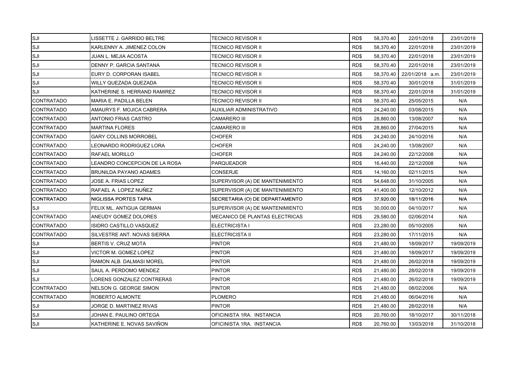| SJI               | LISSETTE J. GARRIDO BELTRE     | <b>TECNICO REVISOR II</b>       | RD\$ | 58,370.40 | 22/01/2018      | 23/01/2019 |
|-------------------|--------------------------------|---------------------------------|------|-----------|-----------------|------------|
| SJI               | KARLENNY A. JIMENEZ COLON      | TECNICO REVISOR II              | RD\$ | 58,370.40 | 22/01/2018      | 23/01/2019 |
| SJI               | JUAN L. MEJIA ACOSTA           | TECNICO REVISOR II              | RD\$ | 58,370.40 | 22/01/2018      | 23/01/2019 |
| SJI               | DENNY P. GARCIA SANTANA        | TECNICO REVISOR II              | RD\$ | 58,370.40 | 22/01/2018      | 23/01/2019 |
| SJI               | EURY D. CORPORAN ISABEL        | TECNICO REVISOR II              | RD\$ | 58,370.40 | 22/01/2018 a.m. | 23/01/2019 |
| SJI               | WILLY QUEZADA QUEZADA          | TECNICO REVISOR II              | RD\$ | 58,370.40 | 30/01/2018      | 31/01/2019 |
| SJI               | KATHERINE S. HERRAND RAMIREZ   | TECNICO REVISOR II              | RD\$ | 58,370.40 | 22/01/2018      | 31/01/2019 |
| CONTRATADO        | MARIA E. PADILLA BELEN         | TECNICO REVISOR II              | RD\$ | 58,370.40 | 25/05/2015      | N/A        |
| <b>CONTRATADO</b> | AMAURYS F. MOJICA CABRERA      | AUXILIAR ADMINISTRATIVO         | RD\$ | 24,240.00 | 03/08/2015      | N/A        |
| <b>CONTRATADO</b> | ANTONIO FRIAS CASTRO           | <b>CAMARERO III</b>             | RD\$ | 28,860.00 | 13/08/2007      | N/A        |
| <b>CONTRATADO</b> | <b>MARTINA FLORES</b>          | CAMARERO III                    | RD\$ | 28,860.00 | 27/04/2015      | N/A        |
| <b>CONTRATADO</b> | <b>GARY COLLINS MORROBEL</b>   | CHOFER                          | RD\$ | 24,240.00 | 24/10/2016      | N/A        |
| CONTRATADO        | LEONARDO RODRIGUEZ LORA        | <b>CHOFER</b>                   | RD\$ | 24,240.00 | 13/08/2007      | N/A        |
| <b>CONTRATADO</b> | RAFAEL MORILLO                 | <b>CHOFER</b>                   | RD\$ | 24,240.00 | 22/12/2008      | N/A        |
| <b>CONTRATADO</b> | LEANDRO CONCEPCION DE LA ROSA  | <b>PARQUEADOR</b>               | RD\$ | 16,440.00 | 22/12/2008      | N/A        |
| <b>CONTRATADO</b> | <b>BRUNILDA PAYANO ADAMES</b>  | <b>CONSERJE</b>                 | RD\$ | 14,160.00 | 02/11/2015      | N/A        |
| <b>CONTRATADO</b> | JOSE A. FRIAS LOPEZ            | SUPERVISOR (A) DE MANTENIMIENTO | RD\$ | 54,648.00 | 31/10/2005      | N/A        |
| <b>CONTRATADO</b> | RAFAEL A. LOPEZ NUÑEZ          | SUPERVISOR (A) DE MANTENIMIENTO | RD\$ | 41,400.00 | 12/10/2012      | N/A        |
| <b>CONTRATADO</b> | NIGLISSA PORTES TAPIA          | SECRETARIA (O) DE DEPARTAMENTO  | RD\$ | 37,920.00 | 18/11/2016      | N/A        |
| SJI               | FELIX ML. ANTIGUA GERMAN       | SUPERVISOR (A) DE MANTENIMIENTO | RD\$ | 30,000.00 | 04/10/2017      | N/A        |
| <b>CONTRATADO</b> | ANEUDY GOMEZ DOLORES           | MECANICO DE PLANTAS ELECTRICAS  | RD\$ | 29,580.00 | 02/06/2014      | N/A        |
| <b>CONTRATADO</b> | <b>ISIDRO CASTILLO VASQUEZ</b> | <b>ELECTRICISTA I</b>           | RD\$ | 23,280.00 | 05/10/2005      | N/A        |
| <b>CONTRATADO</b> | SILVESTRE ANT. NOVAS SIERRA    | ELECTRICISTA II                 | RD\$ | 23,280.00 | 17/11/2015      | N/A        |
| SJI               | BERTIS V. CRUZ MOTA            | <b>PINTOR</b>                   | RD\$ | 21,480.00 | 18/09/2017      | 19/09/2019 |
| SJI               | VICTOR M. GOMEZ LOPEZ          | <b>PINTOR</b>                   | RD\$ | 21,480.00 | 18/09/2017      | 19/09/2019 |
| SJI               | RAMON ALB. DALMASI MOREL       | <b>PINTOR</b>                   | RD\$ | 21,480.00 | 26/02/2018      | 19/09/2019 |
| SJI               | SAUL A. PERDOMO MENDEZ         | <b>PINTOR</b>                   | RD\$ | 21,480.00 | 28/02/2018      | 19/09/2019 |
| SJI               | LORENS GONZALEZ CONTRERAS      | <b>PINTOR</b>                   | RD\$ | 21,480.00 | 26/02/2018      | 19/09/2019 |
| <b>CONTRATADO</b> | NELSON G. GEORGE SIMON         | <b>PINTOR</b>                   | RD\$ | 21,480.00 | 08/02/2006      | N/A        |
| <b>CONTRATADO</b> | ROBERTO ALMONTE                | <b>PLOMERO</b>                  | RD\$ | 21,480.00 | 06/04/2016      | N/A        |
| SJI               | JORGE D. MARTINEZ RIVAS        | <b>PINTOR</b>                   | RD\$ | 21,480.00 | 28/02/2018      | N/A        |
| SJI               | JOHAN E. PAULINO ORTEGA        | OFICINISTA 1RA. INSTANCIA       | RD\$ | 20,760.00 | 18/10/2017      | 30/11/2018 |
| SJI               | KATHERINE E. NOVAS SAVIÑON     | OFICINISTA 1RA. INSTANCIA       | RD\$ | 20,760.00 | 13/03/2018      | 31/10/2018 |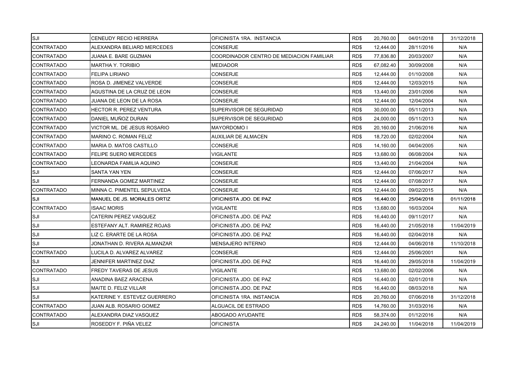| SJI               | CENEUDY RECIO HERRERA          | OFICINISTA 1RA. INSTANCIA                | RD\$ | 20,760.00 | 04/01/2018 | 31/12/2018 |
|-------------------|--------------------------------|------------------------------------------|------|-----------|------------|------------|
| <b>CONTRATADO</b> | ALEXANDRA BELIARD MERCEDES     | <b>CONSERJE</b>                          | RD\$ | 12,444.00 | 28/11/2016 | N/A        |
| <b>CONTRATADO</b> | JUANA E. BARE GUZMAN           | COORDINADOR CENTRO DE MEDIACION FAMILIAR | RD\$ | 77,836.80 | 20/03/2007 | N/A        |
| <b>CONTRATADO</b> | MARTHA Y. TORIBIO              | <b>MEDIADOR</b>                          | RD\$ | 67,082.40 | 30/09/2008 | N/A        |
| <b>CONTRATADO</b> | <b>FELIPA LIRIANO</b>          | <b>CONSERJE</b>                          | RD\$ | 12,444.00 | 01/10/2008 | N/A        |
| <b>CONTRATADO</b> | ROSA D. JIMENEZ VALVERDE       | <b>CONSERJE</b>                          | RD\$ | 12,444.00 | 12/03/2015 | N/A        |
| <b>CONTRATADO</b> | AGUSTINA DE LA CRUZ DE LEON    | <b>CONSERJE</b>                          | RD\$ | 13,440.00 | 23/01/2006 | N/A        |
| <b>CONTRATADO</b> | JUANA DE LEON DE LA ROSA       | CONSERJE                                 | RD\$ | 12,444.00 | 12/04/2004 | N/A        |
| <b>CONTRATADO</b> | <b>HECTOR R. PEREZ VENTURA</b> | SUPERVISOR DE SEGURIDAD                  | RD\$ | 30,000.00 | 05/11/2013 | N/A        |
| <b>CONTRATADO</b> | DANIEL MUÑOZ DURAN             | SUPERVISOR DE SEGURIDAD                  | RD\$ | 24,000.00 | 05/11/2013 | N/A        |
| <b>CONTRATADO</b> | VICTOR ML. DE JESUS ROSARIO    | MAYORDOMO I                              | RD\$ | 20,160.00 | 21/06/2016 | N/A        |
| <b>CONTRATADO</b> | MARINO C. ROMAN FELIZ          | AUXILIAR DE ALMACEN                      | RD\$ | 18,720.00 | 02/02/2004 | N/A        |
| <b>CONTRATADO</b> | MARIA D. MATOS CASTILLO        | <b>CONSERJE</b>                          | RD\$ | 14,160.00 | 04/04/2005 | N/A        |
| <b>CONTRATADO</b> | <b>FELIPE SUERO MERCEDES</b>   | VIGILANTE                                | RD\$ | 13,680.00 | 06/08/2004 | N/A        |
| <b>CONTRATADO</b> | LEONARDA FAMILIA AQUINO        | <b>CONSERJE</b>                          | RD\$ | 13,440.00 | 21/04/2004 | N/A        |
| SJI               | SANTA YAN YEN                  | <b>CONSERJE</b>                          | RD\$ | 12,444.00 | 07/06/2017 | N/A        |
| SJI               | FERNANDA GOMEZ MARTINEZ        | <b>CONSERJE</b>                          | RD\$ | 12,444.00 | 07/08/2017 | N/A        |
| <b>CONTRATADO</b> | MINNA C. PIMENTEL SEPULVEDA    | CONSERJE                                 | RD\$ | 12,444.00 | 09/02/2015 | N/A        |
| SJI               | MANUEL DE JS. MORALES ORTIZ    | OFICINISTA JDO. DE PAZ                   | RD\$ | 16,440.00 | 25/04/2018 | 01/11/2018 |
| <b>CONTRATADO</b> | ISAAC MORIS                    | VIGILANTE                                | RD\$ | 13,680.00 | 16/03/2004 | N/A        |
| SJI               | CATERIN PEREZ VASQUEZ          | OFICINISTA JDO. DE PAZ                   | RD\$ | 16,440.00 | 09/11/2017 | N/A        |
| SJI               | ESTEFANY ALT. RAMIREZ ROJAS    | OFICINISTA JDO. DE PAZ                   | RD\$ | 16,440.00 | 21/05/2018 | 11/04/2019 |
| SJI               | LIZ C. ERARTE DE LA ROSA       | OFICINISTA JDO. DE PAZ                   | RD\$ | 16,440.00 | 02/04/2018 | N/A        |
| SJI               | JONATHAN D. RIVERA ALMANZAR    | <b>MENSAJERO INTERNO</b>                 | RD\$ | 12,444.00 | 04/06/2018 | 11/10/2018 |
| <b>CONTRATADO</b> | LUCILA D. ALVAREZ ALVAREZ      | <b>CONSERJE</b>                          | RD\$ | 12,444.00 | 25/06/2001 | N/A        |
| SJI               | JENNIFER MARTINEZ DIAZ         | OFICINISTA JDO. DE PAZ                   | RD\$ | 16,440.00 | 29/05/2018 | 11/04/2019 |
| <b>CONTRATADO</b> | FREDY TAVERAS DE JESUS         | <b>VIGILANTE</b>                         | RD\$ | 13,680.00 | 02/02/2006 | N/A        |
| <b>SJI</b>        | ANADINA BAEZ ARACENA           | OFICINISTA JDO. DE PAZ                   | RD\$ | 16,440.00 | 02/01/2018 | N/A        |
| SJI               | MAITE D. FELIZ VILLAR          | OFICINISTA JDO. DE PAZ                   | RD\$ | 16,440.00 | 08/03/2018 | N/A        |
| SJI               | KATERINE Y. ESTEVEZ GUERRERO   | OFICINISTA 1RA. INSTANCIA                | RD\$ | 20,760.00 | 07/06/2018 | 31/12/2018 |
| <b>CONTRATADO</b> | JUAN ALB. ROSARIO GOMEZ        | ALGUACIL DE ESTRADO                      | RD\$ | 14,760.00 | 31/03/2016 | N/A        |
| <b>CONTRATADO</b> | ALEXANDRA DIAZ VASQUEZ         | ABOGADO AYUDANTE                         | RD\$ | 58,374.00 | 01/12/2016 | N/A        |
| SJI               | ROSEDDY F. PIÑA VELEZ          | <b>OFICINISTA</b>                        | RD\$ | 24,240.00 | 11/04/2018 | 11/04/2019 |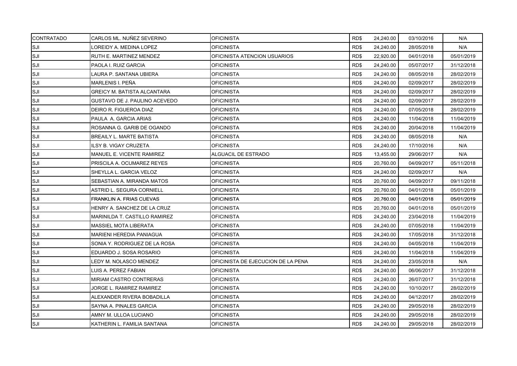| <b>CONTRATADO</b> | CARLOS ML. NUÑEZ SEVERINO          | <b>OFICINISTA</b>                  | RD\$ | 24,240.00 | 03/10/2016 | N/A        |
|-------------------|------------------------------------|------------------------------------|------|-----------|------------|------------|
| SJI               | LOREIDY A. MEDINA LOPEZ            | <b>OFICINISTA</b>                  | RD\$ | 24,240.00 | 28/05/2018 | N/A        |
| SJI               | RUTH E. MARTINEZ MENDEZ            | OFICINISTA ATENCION USUARIOS       | RD\$ | 22,920.00 | 04/01/2018 | 05/01/2019 |
| SJI               | <b>PAOLA I. RUIZ GARCIA</b>        | <b>OFICINISTA</b>                  | RD\$ | 24,240.00 | 05/07/2017 | 31/12/2018 |
| SJI               | LAURA P. SANTANA UBIERA            | OFICINISTA                         | RD\$ | 24,240.00 | 08/05/2018 | 28/02/2019 |
| SJI               | MARLENIS I. PEÑA                   | <b>OFICINISTA</b>                  | RD\$ | 24,240.00 | 02/09/2017 | 28/02/2019 |
| SJI               | <b>GREICY M. BATISTA ALCANTARA</b> | <b>OFICINISTA</b>                  | RD\$ | 24,240.00 | 02/09/2017 | 28/02/2019 |
| SJI               | GUSTAVO DE J. PAULINO ACEVEDO      | <b>OFICINISTA</b>                  | RD\$ | 24,240.00 | 02/09/2017 | 28/02/2019 |
| SJI               | DEIRO R. FIGUEROA DIAZ             | OFICINISTA                         | RD\$ | 24,240.00 | 07/05/2018 | 28/02/2019 |
| SJI               | PAULA A. GARCIA ARIAS              | <b>OFICINISTA</b>                  | RD\$ | 24,240.00 | 11/04/2018 | 11/04/2019 |
| SJI               | ROSANNA G. GARIB DE OGANDO         | <b>OFICINISTA</b>                  | RD\$ | 24,240.00 | 20/04/2018 | 11/04/2019 |
| SJI               | <b>BREAILY L. MARTE BATISTA</b>    | OFICINISTA                         | RD\$ | 24,240.00 | 08/05/2018 | N/A        |
| SJI               | <b>ILSY B. VIGAY CRUZETA</b>       | <b>OFICINISTA</b>                  | RD\$ | 24,240.00 | 17/10/2016 | N/A        |
| SJI               | MANUEL E. VICENTE RAMIREZ          | ALGUACIL DE ESTRADO                | RD\$ | 13,455.00 | 29/06/2017 | N/A        |
| SJI               | PRISCILA A. OCUMAREZ REYES         | <b>OFICINISTA</b>                  | RD\$ | 20,760.00 | 04/09/2017 | 05/11/2018 |
| SJI               | SHEYLLA L. GARCIA VELOZ            | OFICINISTA                         | RD\$ | 24,240.00 | 02/09/2017 | N/A        |
| ISJI              | SEBASTIAN A. MIRANDA MATOS         | <b>OFICINISTA</b>                  | RD\$ | 20,760.00 | 04/09/2017 | 09/11/2018 |
| SJI               | ASTRID L. SEGURA CORNIELL          | <b>OFICINISTA</b>                  | RD\$ | 20,760.00 | 04/01/2018 | 05/01/2019 |
| SJI               | <b>FRANKLIN A. FRIAS CUEVAS</b>    | <b>OFICINISTA</b>                  | RD\$ | 20,760.00 | 04/01/2018 | 05/01/2019 |
| SJI               | HENRY A. SANCHEZ DE LA CRUZ        | OFICINISTA                         | RD\$ | 20,760.00 | 04/01/2018 | 05/01/2019 |
| SJI               | MARINILDA T. CASTILLO RAMIREZ      | <b>OFICINISTA</b>                  | RD\$ | 24,240.00 | 23/04/2018 | 11/04/2019 |
| SJI               | <b>MASSIEL MOTA LIBERATA</b>       | <b>OFICINISTA</b>                  | RD\$ | 24,240.00 | 07/05/2018 | 11/04/2019 |
| SJI               | <b>MARIENI HEREDIA PANIAGUA</b>    | <b>OFICINISTA</b>                  | RD\$ | 24,240.00 | 17/05/2018 | 31/12/2018 |
| SJI               | SONIA Y. RODRIGUEZ DE LA ROSA      | OFICINISTA                         | RD\$ | 24,240.00 | 04/05/2018 | 11/04/2019 |
| SJI               | EDUARDO J. SOSA ROSARIO            | <b>OFICINISTA</b>                  | RD\$ | 24,240.00 | 11/04/2018 | 11/04/2019 |
| SJI               | LEDY M. NOLASCO MENDEZ             | OFICINISTA DE EJECUCION DE LA PENA | RD\$ | 24,240.00 | 23/05/2018 | N/A        |
| SJI               | LUIS A. PEREZ FABIAN               | <b>OFICINISTA</b>                  | RD\$ | 24,240.00 | 06/06/2017 | 31/12/2018 |
| SJI               | MIRIAM CASTRO CONTRERAS            | OFICINISTA                         | RD\$ | 24,240.00 | 26/07/2017 | 31/12/2018 |
| SJI               | JORGE L. RAMIREZ RAMIREZ           | <b>OFICINISTA</b>                  | RD\$ | 24,240.00 | 10/10/2017 | 28/02/2019 |
| SJI               | ALEXANDER RIVERA BOBADILLA         | <b>OFICINISTA</b>                  | RD\$ | 24,240.00 | 04/12/2017 | 28/02/2019 |
| SJI               | SAYNA A. PINALES GARCIA            | <b>OFICINISTA</b>                  | RD\$ | 24,240.00 | 29/05/2018 | 28/02/2019 |
| SJI               | AMNY M. ULLOA LUCIANO              | OFICINISTA                         | RD\$ | 24,240.00 | 29/05/2018 | 28/02/2019 |
| SJI               | KATHERIN L. FAMILIA SANTANA        | <b>OFICINISTA</b>                  | RD\$ | 24,240.00 | 29/05/2018 | 28/02/2019 |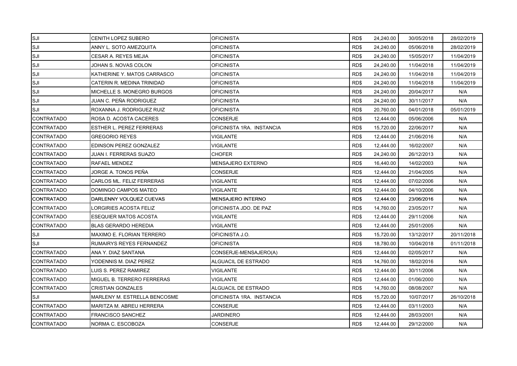| SJI               | <b>CENITH LOPEZ SUBERO</b>      | <b>OFICINISTA</b>         | RD\$ | 24,240.00 | 30/05/2018 | 28/02/2019 |
|-------------------|---------------------------------|---------------------------|------|-----------|------------|------------|
| SJI               | ANNY L. SOTO AMEZQUITA          | <b>OFICINISTA</b>         | RD\$ | 24,240.00 | 05/06/2018 | 28/02/2019 |
| SJI               | CESAR A. REYES MEJIA            | <b>OFICINISTA</b>         | RD\$ | 24,240.00 | 15/05/2017 | 11/04/2019 |
| SJI               | JOHAN S. NOVAS COLON            | OFICINISTA                | RD\$ | 24,240.00 | 11/04/2018 | 11/04/2019 |
| SJI               | KATHERINE Y. MATOS CARRASCO     | OFICINISTA                | RD\$ | 24,240.00 | 11/04/2018 | 11/04/2019 |
| SJI               | CATERIN R. MEDINA TRINIDAD      | <b>OFICINISTA</b>         | RD\$ | 24,240.00 | 11/04/2018 | 11/04/2019 |
| <b>SJI</b>        | MICHELLE S. MONEGRO BURGOS      | <b>OFICINISTA</b>         | RD\$ | 24,240.00 | 20/04/2017 | N/A        |
| SJI               | JUAN C. PEÑA RODRIGUEZ          | OFICINISTA                | RD\$ | 24,240.00 | 30/11/2017 | N/A        |
| SJI               | ROXANNA J. RODRIGUEZ RUIZ       | <b>OFICINISTA</b>         | RD\$ | 20,760.00 | 04/01/2018 | 05/01/2019 |
| <b>CONTRATADO</b> | ROSA D. ACOSTA CACERES          | <b>CONSERJE</b>           | RD\$ | 12,444.00 | 05/06/2006 | N/A        |
| <b>CONTRATADO</b> | <b>ESTHER L. PEREZ FERRERAS</b> | OFICINISTA 1RA. INSTANCIA | RD\$ | 15,720.00 | 22/06/2017 | N/A        |
| <b>CONTRATADO</b> | <b>GREGORIO REYES</b>           | VIGILANTE                 | RD\$ | 12,444.00 | 21/06/2016 | N/A        |
| <b>CONTRATADO</b> | EDINSON PEREZ GONZALEZ          | VIGILANTE                 | RD\$ | 12,444.00 | 16/02/2007 | N/A        |
| <b>CONTRATADO</b> | JUAN I. FERRERAS SUAZO          | <b>CHOFER</b>             | RD\$ | 24,240.00 | 26/12/2013 | N/A        |
| <b>CONTRATADO</b> | RAFAEL MENDEZ                   | MENSAJERO EXTERNO         | RD\$ | 16,440.00 | 14/02/2003 | N/A        |
| <b>CONTRATADO</b> | JORGE A. TONOS PEÑA             | CONSERJE                  | RD\$ | 12,444.00 | 21/04/2005 | N/A        |
| <b>CONTRATADO</b> | CARLOS ML. FELIZ FERRERAS       | VIGILANTE                 | RD\$ | 12,444.00 | 07/02/2006 | N/A        |
| CONTRATADO        | DOMINGO CAMPOS MATEO            | VIGILANTE                 | RD\$ | 12,444.00 | 04/10/2006 | N/A        |
| <b>CONTRATADO</b> | DARLENNY VOLQUEZ CUEVAS         | MENSAJERO INTERNO         | RD\$ | 12,444.00 | 23/06/2016 | N/A        |
| <b>CONTRATADO</b> | LORGIRIES ACOSTA FELIZ          | OFICINISTA JDO. DE PAZ    | RD\$ | 14,760.00 | 23/05/2017 | N/A        |
| <b>CONTRATADO</b> | <b>ESEQUIER MATOS ACOSTA</b>    | VIGILANTE                 | RD\$ | 12,444.00 | 29/11/2006 | N/A        |
| <b>CONTRATADO</b> | <b>BLAS GERARDO HEREDIA</b>     | VIGILANTE                 | RD\$ | 12,444.00 | 25/01/2005 | N/A        |
| SJI               | MAXIMO E. FLORIAN TERRERO       | OFICINISTA J.O.           | RD\$ | 15,720.00 | 13/12/2017 | 20/11/2018 |
| SJI               | RUMAIRYS REYES FERNANDEZ        | <b>OFICINISTA</b>         | RD\$ | 18,780.00 | 10/04/2018 | 01/11/2018 |
| <b>CONTRATADO</b> | ANA Y. DIAZ SANTANA             | CONSERJE-MENSAJERO(A)     | RD\$ | 12,444.00 | 02/05/2017 | N/A        |
| <b>CONTRATADO</b> | YODENNIS M. DIAZ PEREZ          | ALGUACIL DE ESTRADO       | RD\$ | 14,760.00 | 18/02/2016 | N/A        |
| <b>CONTRATADO</b> | LUIS S. PEREZ RAMIREZ           | <b>VIGILANTE</b>          | RD\$ | 12,444.00 | 30/11/2006 | N/A        |
| <b>CONTRATADO</b> | MIGUEL B. TERRERO FERRERAS      | VIGILANTE                 | RD\$ | 12,444.00 | 01/06/2000 | N/A        |
| <b>CONTRATADO</b> | <b>CRISTIAN GONZALES</b>        | ALGUACIL DE ESTRADO       | RD\$ | 14,760.00 | 08/08/2007 | N/A        |
| SJI               | MARLENY M. ESTRELLA BENCOSME    | OFICINISTA 1RA. INSTANCIA | RD\$ | 15,720.00 | 10/07/2017 | 26/10/2018 |
| <b>CONTRATADO</b> | <b>MARITZA M. ABREU HERRERA</b> | CONSERJE                  | RD\$ | 12,444.00 | 03/11/2003 | N/A        |
| <b>CONTRATADO</b> | FRANCISCO SANCHEZ               | JARDINERO                 | RD\$ | 12,444.00 | 28/03/2001 | N/A        |
| <b>CONTRATADO</b> | NORMA C. ESCOBOZA               | <b>CONSERJE</b>           | RD\$ | 12,444.00 | 29/12/2000 | N/A        |
|                   |                                 |                           |      |           |            |            |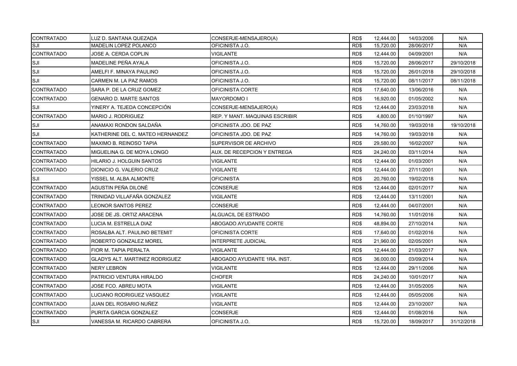| <b>CONTRATADO</b> | LUZ D. SANTANA QUEZADA                | CONSERJE-MENSAJERO(A)          | RD\$ | 12.444.00 | 14/03/2006 | N/A        |
|-------------------|---------------------------------------|--------------------------------|------|-----------|------------|------------|
| <b>SJI</b>        | MADELIN LOPEZ POLANCO                 | OFICINISTA J.O.                | RD\$ | 15,720.00 | 28/06/2017 | N/A        |
| <b>CONTRATADO</b> | JOSE A. CERDA COPLIN                  | <b>VIGILANTE</b>               | RD\$ | 12,444.00 | 04/09/2001 | N/A        |
| <b>SJI</b>        | MADELINE PEÑA AYALA                   | OFICINISTA J.O.                | RD\$ | 15,720.00 | 28/06/2017 | 29/10/2018 |
| SJI               | AMELFI F. MINAYA PAULINO              | OFICINISTA J.O.                | RD\$ | 15,720.00 | 26/01/2018 | 29/10/2018 |
| SJI               | CARMEN M. LA PAZ RAMOS                | OFICINISTA J.O.                | RD\$ | 15,720.00 | 08/11/2017 | 08/11/2018 |
| <b>CONTRATADO</b> | SARA P. DE LA CRUZ GOMEZ              | OFICINISTA CORTE               | RD\$ | 17,640.00 | 13/06/2016 | N/A        |
| <b>CONTRATADO</b> | <b>GENARO D. MARTE SANTOS</b>         | <b>MAYORDOMO I</b>             | RD\$ | 16,920.00 | 01/05/2002 | N/A        |
| SJI               | YINERY A. TEJEDA CONCEPCIÓN           | CONSERJE-MENSAJERO(A)          | RD\$ | 12,444.00 | 23/03/2018 | N/A        |
| <b>CONTRATADO</b> | <b>MARIO J. RODRIGUEZ</b>             | REP. Y MANT. MAQUINAS ESCRIBIR | RD\$ | 4,800.00  | 01/10/1997 | N/A        |
| SJI               | ANAMAXI RONDON SALDAÑA                | OFICINISTA JDO. DE PAZ         | RD\$ | 14,760.00 | 19/03/2018 | 19/10/2018 |
| SJI               | KATHERINE DEL C. MATEO HERNANDEZ      | OFICINISTA JDO. DE PAZ         | RD\$ | 14,760.00 | 19/03/2018 | N/A        |
| <b>CONTRATADO</b> | MAXIMO B. REINOSO TAPIA               | SUPERVISOR DE ARCHIVO          | RD\$ | 29,580.00 | 16/02/2007 | N/A        |
| <b>CONTRATADO</b> | MIGUELINA G. DE MOYA LONGO            | AUX. DE RECEPCION Y ENTREGA    | RD\$ | 24.240.00 | 03/11/2014 | N/A        |
| <b>CONTRATADO</b> | HILARIO J. HOLGUIN SANTOS             | <b>VIGILANTE</b>               | RD\$ | 12,444.00 | 01/03/2001 | N/A        |
| <b>CONTRATADO</b> | DIONICIO G. VALERIO CRUZ              | <b>VIGILANTE</b>               | RD\$ | 12,444.00 | 27/11/2001 | N/A        |
| SJI               | YISSEL M. ALBA ALMONTE                | <b>OFICINISTA</b>              | RD\$ | 20,760.00 | 19/02/2018 | N/A        |
| <b>CONTRATADO</b> | AGUSTIN PEÑA DILONÉ                   | CONSERJE                       | RD\$ | 12,444.00 | 02/01/2017 | N/A        |
| CONTRATADO        | TRINIDAD VILLAFAÑA GONZALEZ           | VIGILANTE                      | RD\$ | 12,444.00 | 13/11/2001 | N/A        |
| <b>CONTRATADO</b> | LEONOR SANTOS PEREZ                   | CONSERJE                       | RD\$ | 12,444.00 | 04/07/2001 | N/A        |
| <b>CONTRATADO</b> | JOSE DE JS. ORTIZ ARACENA             | ALGUACIL DE ESTRADO            | RD\$ | 14,760.00 | 11/01/2016 | N/A        |
| <b>CONTRATADO</b> | LUCIA M. ESTRELLA DIAZ                | ABOGADO AYUDANTE CORTE         | RD\$ | 48,894.00 | 27/10/2014 | N/A        |
| <b>CONTRATADO</b> | ROSALBA ALT. PAULINO BETEMIT          | OFICINISTA CORTE               | RD\$ | 17,640.00 | 01/02/2016 | N/A        |
| <b>CONTRATADO</b> | ROBERTO GONZALEZ MOREL                | <b>INTERPRETE JUDICIAL</b>     | RD\$ | 21,960.00 | 02/05/2001 | N/A        |
| <b>CONTRATADO</b> | FIOR M. TAPIA PERALTA                 | VIGILANTE                      | RD\$ | 12,444.00 | 21/03/2017 | N/A        |
| <b>CONTRATADO</b> | <b>GLADYS ALT. MARTINEZ RODRIGUEZ</b> | ABOGADO AYUDANTE 1RA. INST.    | RD\$ | 36,000.00 | 03/09/2014 | N/A        |
| <b>CONTRATADO</b> | <b>NERY LEBRON</b>                    | <b>VIGILANTE</b>               | RD\$ | 12,444.00 | 29/11/2006 | N/A        |
| <b>CONTRATADO</b> | PATRICIO VENTURA HIRALDO              | <b>CHOFER</b>                  | RD\$ | 24,240.00 | 10/01/2017 | N/A        |
| <b>CONTRATADO</b> | JOSE FCO. ABREU MOTA                  | VIGILANTE                      | RD\$ | 12,444.00 | 31/05/2005 | N/A        |
| <b>CONTRATADO</b> | LUCIANO RODRIGUEZ VASQUEZ             | VIGILANTE                      | RD\$ | 12,444.00 | 05/05/2006 | N/A        |
| <b>CONTRATADO</b> | JUAN DEL ROSARIO NUÑEZ                | VIGILANTE                      | RD\$ | 12,444.00 | 23/10/2007 | N/A        |
| <b>CONTRATADO</b> | PURITA GARCIA GONZALEZ                | CONSERJE                       | RD\$ | 12,444.00 | 01/08/2016 | N/A        |
| SJI               | VANESSA M. RICARDO CABRERA            | OFICINISTA J.O.                | RD\$ | 15,720.00 | 18/09/2017 | 31/12/2018 |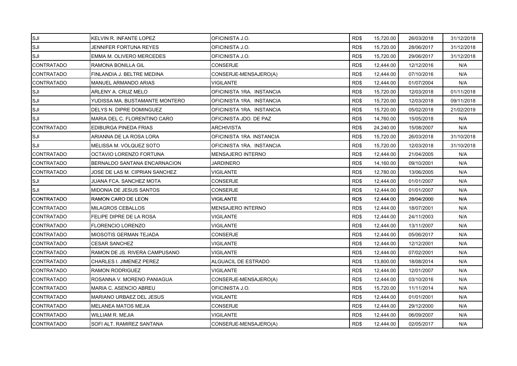| SJI               | KELVIN R. INFANTE LOPEZ         | OFICINISTA J.O.           | RD\$ | 15,720.00 | 26/03/2018 | 31/12/2018 |
|-------------------|---------------------------------|---------------------------|------|-----------|------------|------------|
| SJI               | JENNIFER FORTUNA REYES          | OFICINISTA J.O.           | RD\$ | 15,720.00 | 28/06/2017 | 31/12/2018 |
| SJI               | EMMA M. OLIVERO MERCEDES        | OFICINISTA J.O.           | RD\$ | 15,720.00 | 29/06/2017 | 31/12/2018 |
| <b>CONTRATADO</b> | RAMONA BONILLA GIL              | <b>CONSERJE</b>           | RD\$ | 12,444.00 | 12/12/2016 | N/A        |
| <b>CONTRATADO</b> | FINLANDIA J. BELTRE MEDINA      | CONSERJE-MENSAJERO(A)     | RD\$ | 12,444.00 | 07/10/2016 | N/A        |
| <b>CONTRATADO</b> | <b>MANUEL ARMANDO ARIAS</b>     | <b>VIGILANTE</b>          | RD\$ | 12,444.00 | 01/07/2004 | N/A        |
| SJI               | ARLENY A. CRUZ MELO             | OFICINISTA 1RA. INSTANCIA | RD\$ | 15,720.00 | 12/03/2018 | 01/11/2018 |
| SJI               | YUDISSA MA. BUSTAMANTE MONTERO  | OFICINISTA 1RA. INSTANCIA | RD\$ | 15,720.00 | 12/03/2018 | 09/11/2018 |
| SJI               | DELYS N. DIPRE DOMINGUEZ        | OFICINISTA 1RA. INSTANCIA | RD\$ | 15,720.00 | 05/02/2018 | 21/02/2019 |
| SJI               | MARIA DEL C. FLORENTINO CARO    | OFICINISTA JDO. DE PAZ    | RD\$ | 14,760.00 | 15/05/2018 | N/A        |
| <b>CONTRATADO</b> | EDIBURGA PINEDA FRIAS           | <b>ARCHIVISTA</b>         | RD\$ | 24,240.00 | 15/08/2007 | N/A        |
| SJI               | ARIANNA DE LA ROSA LORA         | OFICINISTA 1RA. INSTANCIA | RD\$ | 15,720.00 | 26/03/2018 | 31/10/2018 |
| SJI               | MELISSA M. VOLQUEZ SOTO         | OFICINISTA 1RA. INSTANCIA | RD\$ | 15,720.00 | 12/03/2018 | 31/10/2018 |
| <b>CONTRATADO</b> | OCTAVIO LORENZO FORTUNA         | <b>MENSAJERO INTERNO</b>  | RD\$ | 12,444.00 | 21/04/2005 | N/A        |
| <b>CONTRATADO</b> | BERNALDO SANTANA ENCARNACION    | JARDINERO                 | RD\$ | 14,160.00 | 09/10/2001 | N/A        |
| <b>CONTRATADO</b> | JOSE DE LAS M. CIPRIAN SANCHEZ  | VIGILANTE                 | RD\$ | 12,780.00 | 13/06/2005 | N/A        |
| SJI               | JUANA FCA. SANCHEZ MOTA         | <b>CONSERJE</b>           | RD\$ | 12,444.00 | 01/01/2007 | N/A        |
| SJI               | <b>MIDONIA DE JESUS SANTOS</b>  | <b>CONSERJE</b>           | RD\$ | 12,444.00 | 01/01/2007 | N/A        |
| <b>CONTRATADO</b> | RAMON CARO DE LEON              | <b>VIGILANTE</b>          | RD\$ | 12,444.00 | 28/04/2000 | N/A        |
| <b>CONTRATADO</b> | MILAGROS CEBALLOS               | <b>MENSAJERO INTERNO</b>  | RD\$ | 12,444.00 | 18/07/2001 | N/A        |
| <b>CONTRATADO</b> | FELIPE DIPRE DE LA ROSA         | <b>VIGILANTE</b>          | RD\$ | 12,444.00 | 24/11/2003 | N/A        |
| <b>CONTRATADO</b> | <b>FLORENCIO LORENZO</b>        | <b>VIGILANTE</b>          | RD\$ | 12,444.00 | 13/11/2007 | N/A        |
| <b>CONTRATADO</b> | <b>MIOSOTIS GERMAN TEJADA</b>   | <b>CONSERJE</b>           | RD\$ | 12,444.00 | 05/06/2017 | N/A        |
| <b>CONTRATADO</b> | <b>CESAR SANCHEZ</b>            | <b>VIGILANTE</b>          | RD\$ | 12,444.00 | 12/12/2001 | N/A        |
| <b>CONTRATADO</b> | RAMON DE JS. RIVERA CAMPUSANO   | <b>VIGILANTE</b>          | RD\$ | 12,444.00 | 07/02/2001 | N/A        |
| CONTRATADO        | <b>CHARLES I. JIMENEZ PEREZ</b> | ALGUACIL DE ESTRADO       | RD\$ | 13,800.00 | 18/08/2014 | N/A        |
| <b>CONTRATADO</b> | <b>RAMON RODRIGUEZ</b>          | <b>VIGILANTE</b>          | RD\$ | 12,444.00 | 12/01/2007 | N/A        |
| <b>CONTRATADO</b> | ROSANNA V. MORENO PANIAGUA      | CONSERJE-MENSAJERO(A)     | RD\$ | 12,444.00 | 03/10/2016 | N/A        |
| <b>CONTRATADO</b> | MARIA C. ASENCIO ABREU          | OFICINISTA J.O.           | RD\$ | 15,720.00 | 11/11/2014 | N/A        |
| <b>CONTRATADO</b> | <b>MARIANO URBAEZ DEL JESUS</b> | <b>VIGILANTE</b>          | RD\$ | 12,444.00 | 01/01/2001 | N/A        |
| <b>CONTRATADO</b> | <b>MELANEA MATOS MEJIA</b>      | CONSERJE                  | RD\$ | 12,444.00 | 29/12/2000 | N/A        |
| <b>CONTRATADO</b> | WILLIAM R. MEJIA                | <b>VIGILANTE</b>          | RD\$ | 12,444.00 | 06/09/2007 | N/A        |
| <b>CONTRATADO</b> | SOFI ALT. RAMIREZ SANTANA       | CONSERJE-MENSAJERO(A)     | RD\$ | 12,444.00 | 02/05/2017 | N/A        |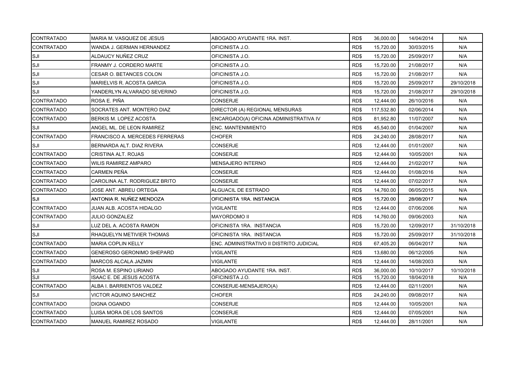| <b>CONTRATADO</b> | MARIA M. VASQUEZ DE JESUS                         | ABOGADO AYUDANTE 1RA. INST.              | RD\$ | 36,000.00  | 14/04/2014 | N/A        |
|-------------------|---------------------------------------------------|------------------------------------------|------|------------|------------|------------|
| <b>CONTRATADO</b> | WANDA J. GERMAN HERNANDEZ                         | OFICINISTA J.O.                          | RD\$ | 15,720.00  | 30/03/2015 | N/A        |
| SJI               | ALDAUCY NUÑEZ CRUZ                                | OFICINISTA J.O.                          | RD\$ | 15,720.00  | 25/09/2017 | N/A        |
| SJI               | FRANMY J. CORDERO MARTE                           | OFICINISTA J.O.                          | RD\$ | 15,720.00  | 21/08/2017 | N/A        |
| SJI               | CESAR O. BETANCES COLON                           | OFICINISTA J.O.                          | RD\$ | 15,720.00  | 21/08/2017 | N/A        |
| SJI               | MARIELVIS R. ACOSTA GARCIA                        | OFICINISTA J.O.                          | RD\$ | 15,720.00  | 25/09/2017 | 29/10/2018 |
| <b>SJI</b>        | YANDERLYN ALVARADO SEVERINO                       | OFICINISTA J.O.                          | RD\$ | 15,720.00  | 21/08/2017 | 29/10/2018 |
| <b>CONTRATADO</b> | ROSA E. PIÑA                                      | CONSERJE                                 | RD\$ | 12,444.00  | 26/10/2016 | N/A        |
| <b>CONTRATADO</b> | SOCRATES ANT. MONTERO DIAZ                        | DIRECTOR (A) REGIONAL MENSURAS           | RD\$ | 117,532.80 | 02/06/2014 | N/A        |
| <b>CONTRATADO</b> | BERKIS M. LOPEZ ACOSTA                            | ENCARGADO(A) OFICINA ADMINISTRATIVA IV   | RD\$ | 81,952.80  | 11/07/2007 | N/A        |
| SJI               | ANGEL ML. DE LEON RAMIREZ                         | ENC. MANTENIMIENTO                       | RD\$ | 45,540.00  | 01/04/2007 | N/A        |
| <b>CONTRATADO</b> | <b>FRANCISCO A. MERCEDES FERRERAS</b>             | <b>CHOFER</b>                            | RD\$ | 24,240.00  | 28/08/2017 | N/A        |
| SJI               | BERNARDA ALT. DIAZ RIVERA                         | <b>CONSERJE</b>                          | RD\$ | 12,444.00  | 01/01/2007 | N/A        |
| <b>CONTRATADO</b> | <b>CRISTINA ALT. ROJAS</b>                        | <b>CONSERJE</b>                          | RD\$ | 12,444.00  | 10/05/2001 | N/A        |
|                   |                                                   |                                          |      |            |            |            |
| <b>CONTRATADO</b> | <b>WILIS RAMIREZ AMPARO</b><br><b>CARMEN PEÑA</b> | MENSAJERO INTERNO                        | RD\$ | 12,444.00  | 21/02/2017 | N/A        |
| <b>CONTRATADO</b> |                                                   | <b>CONSERJE</b>                          | RD\$ | 12,444.00  | 01/08/2016 | N/A        |
| <b>CONTRATADO</b> | CAROLINA ALT. RODRIGUEZ BRITO                     | <b>CONSERJE</b>                          | RD\$ | 12,444.00  | 07/02/2017 | N/A        |
| <b>CONTRATADO</b> | JOSE ANT. ABREU ORTEGA                            | ALGUACIL DE ESTRADO                      | RD\$ | 14,760.00  | 06/05/2015 | N/A        |
| SJI               | ANTONIA R. NUÑEZ MENDOZA                          | OFICINISTA 1RA. INSTANCIA                | RD\$ | 15,720.00  | 28/08/2017 | N/A        |
| <b>CONTRATADO</b> | JUAN ALB. ACOSTA HIDALGO                          | <b>VIGILANTE</b>                         | RD\$ | 12,444.00  | 07/06/2006 | N/A        |
| <b>CONTRATADO</b> | <b>JULIO GONZALEZ</b>                             | <b>MAYORDOMO II</b>                      | RD\$ | 14,760.00  | 09/06/2003 | N/A        |
| SJI               | LUZ DEL A. ACOSTA RAMON                           | OFICINISTA 1RA. INSTANCIA                | RD\$ | 15,720.00  | 12/09/2017 | 31/10/2018 |
| ISJI              | RHAQUELYN METIVIER THOMAS                         | OFICINISTA 1RA. INSTANCIA                | RD\$ | 15,720.00  | 25/09/2017 | 31/10/2018 |
| <b>CONTRATADO</b> | <b>MARIA COPLIN KELLY</b>                         | ENC. ADMINISTRATIVO II DISTRITO JUDICIAL | RD\$ | 67,405.20  | 06/04/2017 | N/A        |
| <b>CONTRATADO</b> | <b>GENEROSO GERONIMO SHEPARD</b>                  | <b>VIGILANTE</b>                         | RD\$ | 13,680.00  | 06/12/2005 | N/A        |
| <b>CONTRATADO</b> | MARCOS ALCALA JAZMIN                              | VIGILANTE                                | RD\$ | 12,444.00  | 14/08/2003 | N/A        |
| SJI               | ROSA M. ESPINO LIRIANO                            | ABOGADO AYUDANTE 1RA. INST.              | RD\$ | 36,000.00  | 10/10/2017 | 10/10/2018 |
| SJI               | <b>ISAAC E. DE JESUS ACOSTA</b>                   | OFICINISTA J.O.                          | RD\$ | 15,720.00  | 18/04/2018 | N/A        |
| <b>CONTRATADO</b> | ALBA I. BARRIENTOS VALDEZ                         | CONSERJE-MENSAJERO(A)                    | RD\$ | 12,444.00  | 02/11/2001 | N/A        |
| SJI               | <b>VICTOR AQUINO SANCHEZ</b>                      | <b>CHOFER</b>                            | RD\$ | 24,240.00  | 09/08/2017 | N/A        |
| <b>CONTRATADO</b> | DIGNA OGANDO                                      | CONSERJE                                 | RD\$ | 12,444.00  | 10/05/2001 | N/A        |
| <b>CONTRATADO</b> | LUISA MORA DE LOS SANTOS                          | CONSERJE                                 | RD\$ | 12,444.00  | 07/05/2001 | N/A        |
| <b>CONTRATADO</b> | MANUEL RAMIREZ ROSADO                             | <b>VIGILANTE</b>                         | RD\$ | 12,444.00  | 28/11/2001 | N/A        |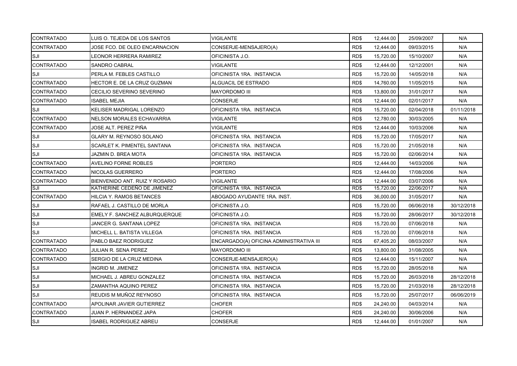| <b>CONTRATADO</b> | LUIS O. TEJEDA DE LOS SANTOS     | <b>VIGILANTE</b>                        | RD\$ | 12,444.00 | 25/09/2007 | N/A        |
|-------------------|----------------------------------|-----------------------------------------|------|-----------|------------|------------|
| <b>CONTRATADO</b> | JOSE FCO. DE OLEO ENCARNACION    | CONSERJE-MENSAJERO(A)                   | RD\$ | 12,444.00 | 09/03/2015 | N/A        |
| SJI               | LEONOR HERRERA RAMIREZ           | OFICINISTA J.O.                         | RD\$ | 15,720.00 | 15/10/2007 | N/A        |
| <b>CONTRATADO</b> | SANDRO CABRAL                    | VIGILANTE                               | RD\$ | 12,444.00 | 12/12/2001 | N/A        |
| SJI               | PERLA M. FEBLES CASTILLO         | OFICINISTA 1RA. INSTANCIA               | RD\$ | 15,720.00 | 14/05/2018 | N/A        |
| <b>CONTRATADO</b> | HECTOR E. DE LA CRUZ GUZMAN      | ALGUACIL DE ESTRADO                     | RD\$ | 14,760.00 | 11/05/2015 | N/A        |
| <b>CONTRATADO</b> | CECILIO SEVERINO SEVERINO        | <b>MAYORDOMO III</b>                    | RD\$ | 13,800.00 | 31/01/2017 | N/A        |
| <b>CONTRATADO</b> | ISABEL MEJIA                     | CONSERJE                                | RD\$ | 12,444.00 | 02/01/2017 | N/A        |
| SJI               | <b>KELISER MADRIGAL LORENZO</b>  | OFICINISTA 1RA. INSTANCIA               | RD\$ | 15,720.00 | 02/04/2018 | 01/11/2018 |
| <b>CONTRATADO</b> | <b>NELSON MORALES ECHAVARRIA</b> | VIGILANTE                               | RD\$ | 12,780.00 | 30/03/2005 | N/A        |
| <b>CONTRATADO</b> | JOSE ALT. PEREZ PIÑA             | VIGILANTE                               | RD\$ | 12,444.00 | 10/03/2006 | N/A        |
| SJI               | GLARY M. REYNOSO SOLANO          | OFICINISTA 1RA. INSTANCIA               | RD\$ | 15,720.00 | 17/05/2017 | N/A        |
| SJI               | SCARLET K. PIMENTEL SANTANA      | OFICINISTA 1RA. INSTANCIA               | RD\$ | 15,720.00 | 21/05/2018 | N/A        |
| SJI               | JAZMIN D. BREA MOTA              | OFICINISTA 1RA. INSTANCIA               | RD\$ | 15,720.00 | 02/06/2014 | N/A        |
| <b>CONTRATADO</b> | AVELINO FORNE ROBLES             | PORTERO                                 | RD\$ | 12,444.00 | 14/03/2006 | N/A        |
| <b>CONTRATADO</b> | NICOLAS GUERRERO                 | PORTERO                                 | RD\$ | 12,444.00 | 17/08/2006 | N/A        |
| <b>CONTRATADO</b> | BIENVENIDO ANT. RUIZ Y ROSARIO   | VIGILANTE                               | RD\$ | 12,444.00 | 03/07/2006 | N/A        |
| SJI               | KATHERINE CEDEÑO DE JIMENEZ      | OFICINISTA 1RA. INSTANCIA               | RD\$ | 15,720.00 | 22/06/2017 | N/A        |
| <b>CONTRATADO</b> | HILCIA Y. RAMOS BETANCES         | ABOGADO AYUDANTE 1RA. INST.             | RD\$ | 36,000.00 | 31/05/2017 | N/A        |
| SJI               | RAFAEL J. CASTILLO DE MORLA      | OFICINISTA J.O.                         | RD\$ | 15,720.00 | 06/06/2018 | 30/12/2018 |
| SJI               | EMELY F. SANCHEZ ALBURQUERQUE    | OFICINISTA J.O.                         | RD\$ | 15,720.00 | 28/06/2017 | 30/12/2018 |
| <b>SJI</b>        | JANCER G. SANTANA LOPEZ          | OFICINISTA 1RA. INSTANCIA               | RD\$ | 15,720.00 | 07/06/2018 | N/A        |
| SJI               | MICHELL L. BATISTA VILLEGA       | OFICINISTA 1RA. INSTANCIA               | RD\$ | 15,720.00 | 07/06/2018 | N/A        |
| <b>CONTRATADO</b> | PABLO BAEZ RODRIGUEZ             | ENCARGADO(A) OFICINA ADMINISTRATIVA III | RD\$ | 67,405.20 | 08/03/2007 | N/A        |
| <b>CONTRATADO</b> | JULIAN R. SENA PEREZ             | MAYORDOMO III                           | RD\$ | 13,800.00 | 31/08/2005 | N/A        |
| <b>CONTRATADO</b> | SERGIO DE LA CRUZ MEDINA         | CONSERJE-MENSAJERO(A)                   | RD\$ | 12,444.00 | 15/11/2007 | N/A        |
| SJI               | INGRID M. JIMENEZ                | OFICINISTA 1RA. INSTANCIA               | RD\$ | 15,720.00 | 28/05/2018 | N/A        |
| SJI               | MICHAEL J. ABREU GONZALEZ        | OFICINISTA 1RA. INSTANCIA               | RD\$ | 15,720.00 | 26/03/2018 | 28/12/2018 |
| SJI               | ZAMANTHA AQUINO PEREZ            | OFICINISTA 1RA. INSTANCIA               | RD\$ | 15,720.00 | 21/03/2018 | 28/12/2018 |
| SJI               | REUDIS M MUÑOZ REYNOSO           | OFICINISTA 1RA. INSTANCIA               | RD\$ | 15,720.00 | 25/07/2017 | 06/06/2019 |
| <b>CONTRATADO</b> | APOLINAR JAVIER GUTIERREZ        | <b>CHOFER</b>                           | RD\$ | 24,240.00 | 04/03/2014 | N/A        |
| <b>CONTRATADO</b> | JUAN P. HERNANDEZ JAPA           | <b>CHOFER</b>                           | RD\$ | 24,240.00 | 30/06/2006 | N/A        |
| SJI               | <b>ISABEL RODRIGUEZ ABREU</b>    | CONSERJE                                | RD\$ | 12,444.00 | 01/01/2007 | N/A        |
|                   |                                  |                                         |      |           |            |            |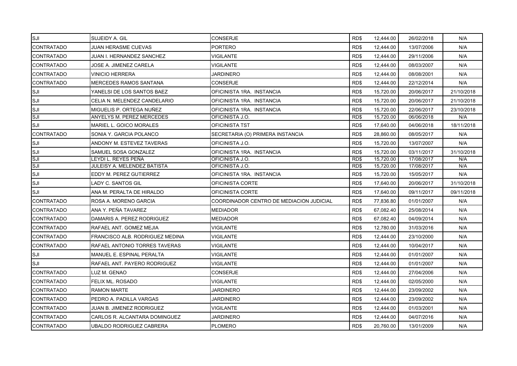| SJI               | SUJEIDY A. GIL                  | <b>CONSERJE</b>                          | RD\$ | 12,444.00 | 26/02/2018 | N/A        |
|-------------------|---------------------------------|------------------------------------------|------|-----------|------------|------------|
| <b>CONTRATADO</b> | JUAN HERASME CUEVAS             | <b>PORTERO</b>                           | RD\$ | 12,444.00 | 13/07/2006 | N/A        |
| <b>CONTRATADO</b> | JUAN I. HERNANDEZ SANCHEZ       | VIGILANTE                                | RD\$ | 12,444.00 | 29/11/2006 | N/A        |
| <b>CONTRATADO</b> | JOSE A. JIMENEZ CARELA          | VIGILANTE                                | RD\$ | 12,444.00 | 08/03/2007 | N/A        |
| <b>CONTRATADO</b> | VINICIO HERRERA                 | <b>JARDINERO</b>                         | RD\$ | 12,444.00 | 08/08/2001 | N/A        |
| <b>CONTRATADO</b> | <b>MERCEDES RAMOS SANTANA</b>   | CONSERJE                                 | RD\$ | 12,444.00 | 22/12/2014 | N/A        |
| SJI               | YANELSI DE LOS SANTOS BAEZ      | OFICINISTA 1RA. INSTANCIA                | RD\$ | 15,720.00 | 20/06/2017 | 21/10/2018 |
| SJI               | CELIA N. MELENDEZ CANDELARIO    | OFICINISTA 1RA. INSTANCIA                | RD\$ | 15,720.00 | 20/06/2017 | 21/10/2018 |
| SJI               | MIGUELIS P. ORTEGA NUÑEZ        | OFICINISTA 1RA. INSTANCIA                | RD\$ | 15,720.00 | 22/06/2017 | 23/10/2018 |
| SJI               | ANYELYS M. PEREZ MERCEDES       | OFICINISTA J.O.                          | RD\$ | 15,720.00 | 06/06/2018 | N/A        |
| SJI               | MARIEL L. GOICO MORALES         | OFICINISTA TST                           | RD\$ | 17,640.00 | 04/06/2018 | 18/11/2018 |
| <b>CONTRATADO</b> | SONIA Y. GARCIA POLANCO         | SECRETARIA (O) PRIMERA INSTANCIA         | RD\$ | 28,860.00 | 08/05/2017 | N/A        |
| SJI               | ANDONY M. ESTEVEZ TAVERAS       | OFICINISTA J.O.                          | RD\$ | 15,720.00 | 13/07/2007 | N/A        |
| SJI               | SAMUEL SOSA GONZALEZ            | OFICINISTA 1RA. INSTANCIA                | RD\$ | 15,720.00 | 03/11/2017 | 31/10/2018 |
| SJI               | LEYDI L. REYES PEÑA             | OFICINISTA J.O.                          | RD\$ | 15,720.00 | 17/08/2017 | N/A        |
| SJI               | JULEISY A. MELENDEZ BATISTA     | OFICINISTA J.O.                          | RD\$ | 15,720.00 | 17/08/2017 | N/A        |
| SJI               | EDDY M. PEREZ GUTIERREZ         | OFICINISTA 1RA. INSTANCIA                | RD\$ | 15,720.00 | 15/05/2017 | N/A        |
| SJI               | LADY C. SANTOS GIL              | OFICINISTA CORTE                         | RD\$ | 17,640.00 | 20/06/2017 | 31/10/2018 |
| SJI               | ANA M. PERALTA DE HIRALDO       | OFICINISTA CORTE                         | RD\$ | 17,640.00 | 09/11/2017 | 09/11/2018 |
| <b>CONTRATADO</b> | ROSA A. MORENO GARCIA           | COORDINADOR CENTRO DE MEDIACION JUDICIAL | RD\$ | 77,836.80 | 01/01/2007 | N/A        |
| <b>CONTRATADO</b> | ANA Y. PEÑA TAVAREZ             | <b>MEDIADOR</b>                          | RD\$ | 67,082.40 | 25/08/2014 | N/A        |
| <b>CONTRATADO</b> | DAMARIS A. PEREZ RODRIGUEZ      | <b>MEDIADOR</b>                          | RD\$ | 67,082.40 | 04/09/2014 | N/A        |
| <b>CONTRATADO</b> | RAFAEL ANT. GOMEZ MEJIA         | <b>VIGILANTE</b>                         | RD\$ | 12,780.00 | 31/03/2016 | N/A        |
| <b>CONTRATADO</b> | FRANCISCO ALB. RODRIGUEZ MEDINA | VIGILANTE                                | RD\$ | 12,444.00 | 23/10/2000 | N/A        |
| <b>CONTRATADO</b> | RAFAEL ANTONIO TORRES TAVERAS   | VIGILANTE                                | RD\$ | 12,444.00 | 10/04/2017 | N/A        |
| SJI               | MANUEL E. ESPINAL PERALTA       | VIGILANTE                                | RD\$ | 12,444.00 | 01/01/2007 | N/A        |
| SJI               | RAFAEL ANT. PAYERO RODRIGUEZ    | <b>VIGILANTE</b>                         | RD\$ | 12,444.00 | 01/01/2007 | N/A        |
| <b>CONTRATADO</b> | LUZ M. GENAO                    | CONSERJE                                 | RD\$ | 12,444.00 | 27/04/2006 | N/A        |
| <b>CONTRATADO</b> | FELIX ML. ROSADO                | VIGILANTE                                | RD\$ | 12,444.00 | 02/05/2000 | N/A        |
| <b>CONTRATADO</b> | <b>RAMON MARTE</b>              | <b>JARDINERO</b>                         | RD\$ | 12,444.00 | 23/09/2002 | N/A        |
| <b>CONTRATADO</b> | PEDRO A. PADILLA VARGAS         | JARDINERO                                | RD\$ | 12,444.00 | 23/09/2002 | N/A        |
| <b>CONTRATADO</b> | JUAN B. JIMENEZ RODRIGUEZ       | VIGILANTE                                | RD\$ | 12,444.00 | 01/03/2001 | N/A        |
| <b>CONTRATADO</b> | CARLOS R. ALCANTARA DOMINGUEZ   | <b>JARDINERO</b>                         | RD\$ | 12,444.00 | 04/07/2016 | N/A        |
| <b>CONTRATADO</b> | UBALDO RODRIGUEZ CABRERA        | <b>PLOMERO</b>                           | RD\$ | 20.760.00 | 13/01/2009 | N/A        |